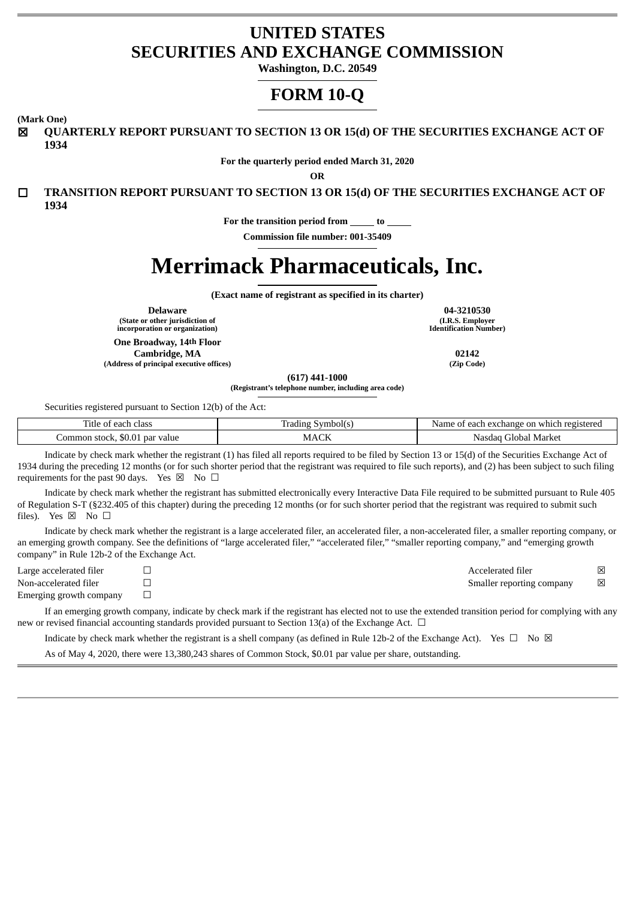## **UNITED STATES SECURITIES AND EXCHANGE COMMISSION**

**Washington, D.C. 20549**

# **FORM 10-Q**

**(Mark One)**

☒ **QUARTERLY REPORT PURSUANT TO SECTION 13 OR 15(d) OF THE SECURITIES EXCHANGE ACT OF 1934**

**For the quarterly period ended March 31, 2020**

**OR**

☐ **TRANSITION REPORT PURSUANT TO SECTION 13 OR 15(d) OF THE SECURITIES EXCHANGE ACT OF 1934**

**For the transition period from to**

**Commission file number: 001-35409**

# **Merrimack Pharmaceuticals, Inc.**

**(Exact name of registrant as specified in its charter)**

**(State or other jurisdiction of incorporation or organization)**

**One Broadway, 14th Floor Cambridge, MA 02142**

**(Address of principal executive offices) (Zip Code)**

**Delaware 04-3210530 (I.R.S. Employer Identification Number)**

**(617) 441-1000**

**(Registrant's telephone number, including area code)**

Securities registered pursuant to Section 12(b) of the Act:

| ÷.<br>Title<br>class<br>each :<br>- 01           | √ vmbol(s<br>`adıne          | registered<br>i exchange on which<br>each<br><b>Name</b><br>- OT |
|--------------------------------------------------|------------------------------|------------------------------------------------------------------|
| par<br>value<br>.ommon<br>stock,<br><b>JU.UL</b> | $\sim$ $\sim$ $\sim$<br>MACF | Market<br>Global<br>Nasdag                                       |

Indicate by check mark whether the registrant (1) has filed all reports required to be filed by Section 13 or 15(d) of the Securities Exchange Act of 1934 during the preceding 12 months (or for such shorter period that the registrant was required to file such reports), and (2) has been subject to such filing requirements for the past 90 days. Yes  $\boxtimes$  No  $\Box$ 

Indicate by check mark whether the registrant has submitted electronically every Interactive Data File required to be submitted pursuant to Rule 405 of Regulation S-T (§232.405 of this chapter) during the preceding 12 months (or for such shorter period that the registrant was required to submit such files). Yes  $\boxtimes$  No  $\square$ 

Indicate by check mark whether the registrant is a large accelerated filer, an accelerated filer, a non-accelerated filer, a smaller reporting company, or an emerging growth company. See the definitions of "large accelerated filer," "accelerated filer," "smaller reporting company," and "emerging growth company" in Rule 12b-2 of the Exchange Act.

Large accelerated filer ☐ Accelerated filer ☒ Non-accelerated filer ☐ Smaller reporting company ☒

Emerging growth company  $\Box$ 

If an emerging growth company, indicate by check mark if the registrant has elected not to use the extended transition period for complying with any new or revised financial accounting standards provided pursuant to Section 13(a) of the Exchange Act. □

Indicate by check mark whether the registrant is a shell company (as defined in Rule 12b-2 of the Exchange Act). Yes  $\Box$  No  $\boxtimes$ 

As of May 4, 2020, there were 13,380,243 shares of Common Stock, \$0.01 par value per share, outstanding.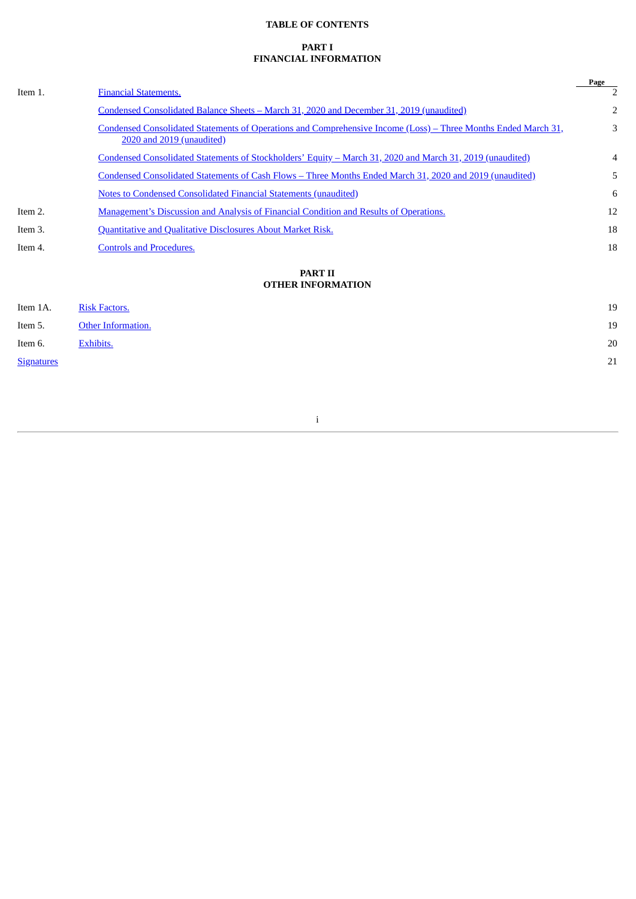## **TABLE OF CONTENTS**

## **PART I FINANCIAL INFORMATION**

|                   |                                                                                                                                             | Page |
|-------------------|---------------------------------------------------------------------------------------------------------------------------------------------|------|
| Item 1.           | <b>Financial Statements.</b>                                                                                                                |      |
|                   | Condensed Consolidated Balance Sheets - March 31, 2020 and December 31, 2019 (unaudited)                                                    | 2    |
|                   | Condensed Consolidated Statements of Operations and Comprehensive Income (Loss) – Three Months Ended March 31,<br>2020 and 2019 (unaudited) | 3    |
|                   | <u>Condensed Consolidated Statements of Stockholders' Equity – March 31, 2020 and March 31, 2019 (unaudited)</u>                            | 4    |
|                   | Condensed Consolidated Statements of Cash Flows - Three Months Ended March 31, 2020 and 2019 (unaudited)                                    | 5    |
|                   | <b>Notes to Condensed Consolidated Financial Statements (unaudited)</b>                                                                     | 6    |
| Item 2.           | <b>Management's Discussion and Analysis of Financial Condition and Results of Operations.</b>                                               | 12   |
| Item 3.           | Quantitative and Qualitative Disclosures About Market Risk.                                                                                 | 18   |
| Item 4.           | <b>Controls and Procedures.</b>                                                                                                             | 18   |
|                   | <b>PART II</b>                                                                                                                              |      |
|                   | <b>OTHER INFORMATION</b>                                                                                                                    |      |
| Item 1A.          | <b>Risk Factors.</b>                                                                                                                        | 19   |
| Item 5.           | Other Information.                                                                                                                          | 19   |
| Item 6.           | Exhibits.                                                                                                                                   | 20   |
| <b>Signatures</b> |                                                                                                                                             | 21   |

i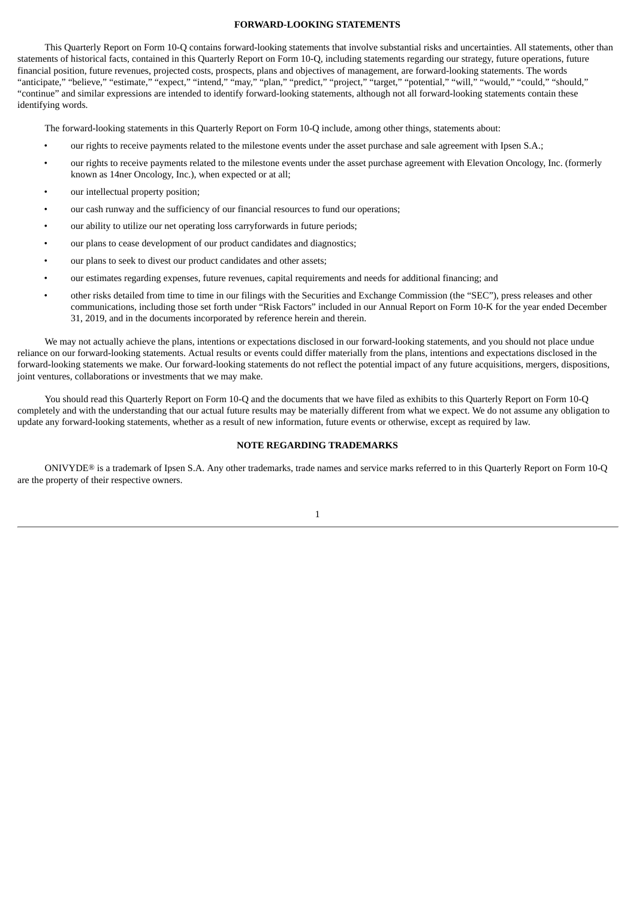#### **FORWARD-LOOKING STATEMENTS**

This Quarterly Report on Form 10-Q contains forward-looking statements that involve substantial risks and uncertainties. All statements, other than statements of historical facts, contained in this Quarterly Report on Form 10-Q, including statements regarding our strategy, future operations, future financial position, future revenues, projected costs, prospects, plans and objectives of management, are forward-looking statements. The words "anticipate," "believe," "estimate," "expect," "intend," "may," "plan," "predict," "project," "target," "potential," "will," "would," "could," "should," "continue" and similar expressions are intended to identify forward-looking statements, although not all forward-looking statements contain these identifying words.

The forward-looking statements in this Quarterly Report on Form 10-Q include, among other things, statements about:

- our rights to receive payments related to the milestone events under the asset purchase and sale agreement with Ipsen S.A.;
- our rights to receive payments related to the milestone events under the asset purchase agreement with Elevation Oncology, Inc. (formerly known as 14ner Oncology, Inc.), when expected or at all;
- our intellectual property position;
- our cash runway and the sufficiency of our financial resources to fund our operations;
- our ability to utilize our net operating loss carryforwards in future periods;
- our plans to cease development of our product candidates and diagnostics;
- our plans to seek to divest our product candidates and other assets;
- our estimates regarding expenses, future revenues, capital requirements and needs for additional financing; and
- other risks detailed from time to time in our filings with the Securities and Exchange Commission (the "SEC"), press releases and other communications, including those set forth under "Risk Factors" included in our Annual Report on Form 10-K for the year ended December 31, 2019, and in the documents incorporated by reference herein and therein.

We may not actually achieve the plans, intentions or expectations disclosed in our forward-looking statements, and you should not place undue reliance on our forward-looking statements. Actual results or events could differ materially from the plans, intentions and expectations disclosed in the forward-looking statements we make. Our forward-looking statements do not reflect the potential impact of any future acquisitions, mergers, dispositions, joint ventures, collaborations or investments that we may make.

You should read this Quarterly Report on Form 10-Q and the documents that we have filed as exhibits to this Quarterly Report on Form 10-Q completely and with the understanding that our actual future results may be materially different from what we expect. We do not assume any obligation to update any forward-looking statements, whether as a result of new information, future events or otherwise, except as required by law.

#### **NOTE REGARDING TRADEMARKS**

ONIVYDE® is a trademark of Ipsen S.A. Any other trademarks, trade names and service marks referred to in this Quarterly Report on Form 10-Q are the property of their respective owners.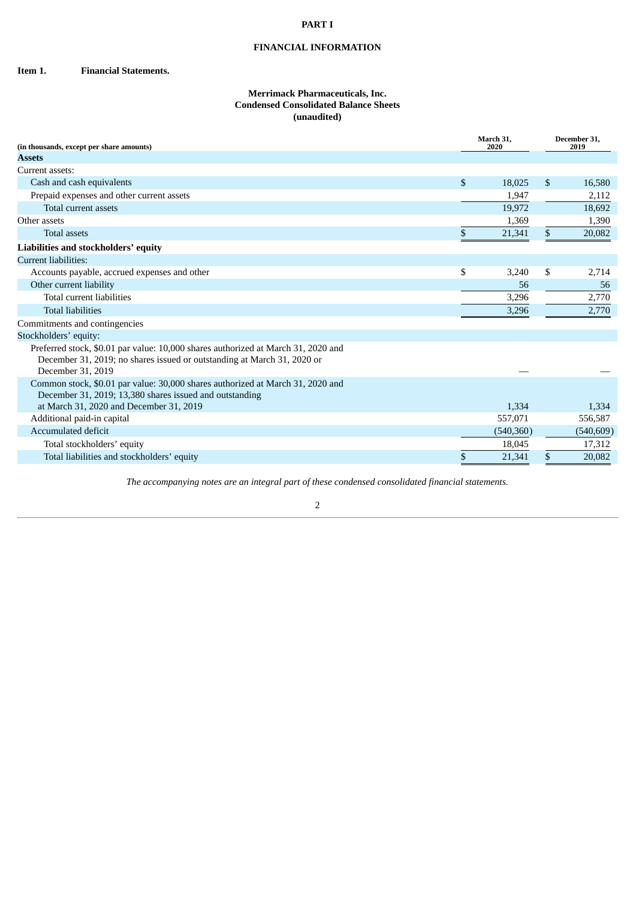#### **PART I**

## **FINANCIAL INFORMATION**

<span id="page-3-1"></span><span id="page-3-0"></span>**Item 1. Financial Statements.**

#### **Merrimack Pharmaceuticals, Inc. Condensed Consolidated Balance Sheets (unaudited)**

| (in thousands, except per share amounts)                                                                                                                                          |              | March 31,<br>2020 |    | December 31.<br>2019 |
|-----------------------------------------------------------------------------------------------------------------------------------------------------------------------------------|--------------|-------------------|----|----------------------|
| <b>Assets</b>                                                                                                                                                                     |              |                   |    |                      |
| Current assets:                                                                                                                                                                   |              |                   |    |                      |
| Cash and cash equivalents                                                                                                                                                         | $\mathbb{S}$ | 18.025            | \$ | 16,580               |
| Prepaid expenses and other current assets                                                                                                                                         |              | 1,947             |    | 2,112                |
| Total current assets                                                                                                                                                              |              | 19,972            |    | 18,692               |
| Other assets                                                                                                                                                                      |              | 1,369             |    | 1,390                |
| <b>Total assets</b>                                                                                                                                                               | \$           | 21,341            | \$ | 20,082               |
| Liabilities and stockholders' equity                                                                                                                                              |              |                   |    |                      |
| <b>Current liabilities:</b>                                                                                                                                                       |              |                   |    |                      |
| Accounts payable, accrued expenses and other                                                                                                                                      | \$           | 3,240             | \$ | 2,714                |
| Other current liability                                                                                                                                                           |              | 56                |    | 56                   |
| Total current liabilities                                                                                                                                                         |              | 3,296             |    | 2,770                |
| <b>Total liabilities</b>                                                                                                                                                          |              | 3,296             |    | 2,770                |
| Commitments and contingencies                                                                                                                                                     |              |                   |    |                      |
| Stockholders' equity:                                                                                                                                                             |              |                   |    |                      |
| Preferred stock, \$0.01 par value: 10,000 shares authorized at March 31, 2020 and<br>December 31, 2019; no shares issued or outstanding at March 31, 2020 or<br>December 31, 2019 |              |                   |    |                      |
| Common stock, \$0.01 par value: 30,000 shares authorized at March 31, 2020 and<br>December 31, 2019; 13,380 shares issued and outstanding                                         |              |                   |    |                      |
| at March 31, 2020 and December 31, 2019                                                                                                                                           |              | 1,334             |    | 1,334                |
| Additional paid-in capital                                                                                                                                                        |              | 557,071           |    | 556,587              |
| Accumulated deficit                                                                                                                                                               |              | (540, 360)        |    | (540, 609)           |
| Total stockholders' equity                                                                                                                                                        |              | 18,045            |    | 17,312               |
| Total liabilities and stockholders' equity                                                                                                                                        | \$           | 21,341            | \$ | 20,082               |

*The accompanying notes are an integral part of these condensed consolidated financial statements.*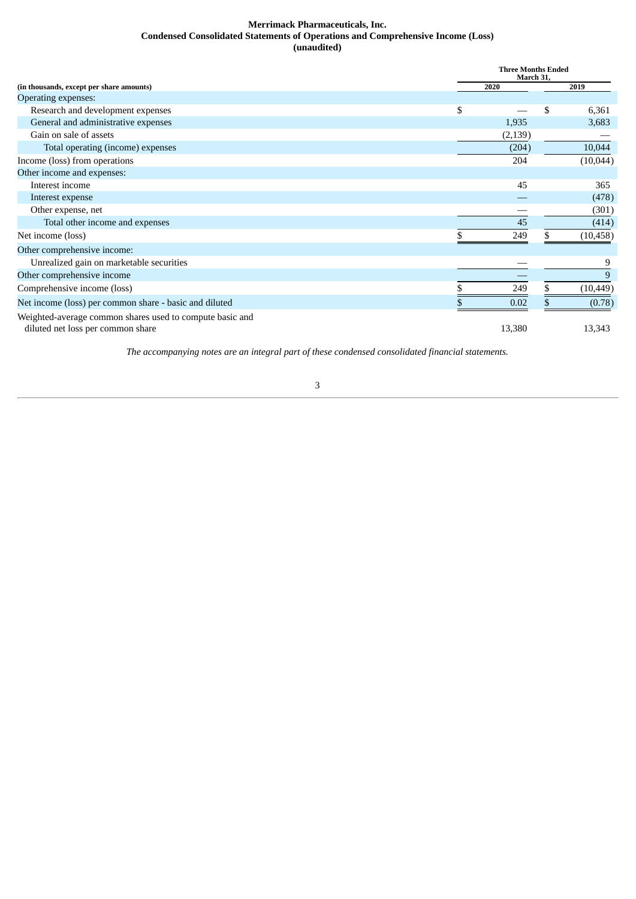#### **Merrimack Pharmaceuticals, Inc. Condensed Consolidated Statements of Operations and Comprehensive Income (Loss) (unaudited)**

<span id="page-4-0"></span>

|                                                          |    | <b>Three Months Ended</b><br>March 31, |           |  |  |  |  |
|----------------------------------------------------------|----|----------------------------------------|-----------|--|--|--|--|
| (in thousands, except per share amounts)                 |    | 2020                                   | 2019      |  |  |  |  |
| <b>Operating expenses:</b>                               |    |                                        |           |  |  |  |  |
| Research and development expenses                        | \$ | \$                                     | 6,361     |  |  |  |  |
| General and administrative expenses                      |    | 1,935                                  | 3,683     |  |  |  |  |
| Gain on sale of assets                                   |    | (2, 139)                               |           |  |  |  |  |
| Total operating (income) expenses                        |    | (204)                                  | 10,044    |  |  |  |  |
| Income (loss) from operations                            |    | 204                                    | (10,044)  |  |  |  |  |
| Other income and expenses:                               |    |                                        |           |  |  |  |  |
| Interest income                                          |    | 45                                     | 365       |  |  |  |  |
| Interest expense                                         |    |                                        | (478)     |  |  |  |  |
| Other expense, net                                       |    |                                        | (301)     |  |  |  |  |
| Total other income and expenses                          |    | 45                                     | (414)     |  |  |  |  |
| Net income (loss)                                        |    | 249                                    | (10, 458) |  |  |  |  |
| Other comprehensive income:                              |    |                                        |           |  |  |  |  |
| Unrealized gain on marketable securities                 |    |                                        | 9         |  |  |  |  |
| Other comprehensive income                               |    |                                        | 9         |  |  |  |  |
| Comprehensive income (loss)                              |    | 249                                    | (10, 449) |  |  |  |  |
| Net income (loss) per common share - basic and diluted   |    | 0.02                                   | (0.78)    |  |  |  |  |
| Weighted-average common shares used to compute basic and |    |                                        |           |  |  |  |  |
| diluted net loss per common share                        |    | 13,380                                 | 13,343    |  |  |  |  |

*The accompanying notes are an integral part of these condensed consolidated financial statements.*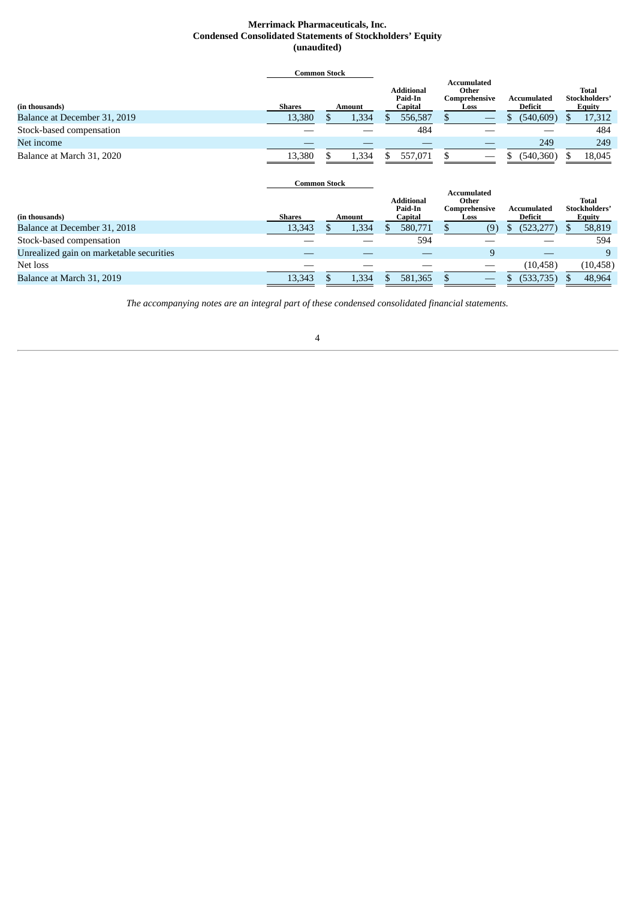#### **Merrimack Pharmaceuticals, Inc. Condensed Consolidated Statements of Stockholders' Equity (unaudited)**

<span id="page-5-0"></span>

|                                          |               | <b>Common Stock</b> |               |                                         |                                                |               |                                                      |                               |            |     |                                         |  |  |  |  |  |  |  |  |  |  |  |                                               |                               |  |  |                                                |
|------------------------------------------|---------------|---------------------|---------------|-----------------------------------------|------------------------------------------------|---------------|------------------------------------------------------|-------------------------------|------------|-----|-----------------------------------------|--|--|--|--|--|--|--|--|--|--|--|-----------------------------------------------|-------------------------------|--|--|------------------------------------------------|
| (in thousands)                           | <b>Shares</b> |                     | <b>Amount</b> | <b>Additional</b><br>Paid-In<br>Capital |                                                |               |                                                      |                               |            |     |                                         |  |  |  |  |  |  |  |  |  |  |  | Accumulated<br>Other<br>Comprehensive<br>Loss | Accumulated<br><b>Deficit</b> |  |  | <b>Total</b><br>Stockholders'<br><b>Equity</b> |
| Balance at December 31, 2019             | 13,380        | S                   | 1,334         | S.                                      | 556,587                                        | \$            |                                                      | \$                            | (540, 609) | \$. | 17,312                                  |  |  |  |  |  |  |  |  |  |  |  |                                               |                               |  |  |                                                |
| Stock-based compensation                 |               |                     |               |                                         | 484                                            |               |                                                      |                               |            |     | 484                                     |  |  |  |  |  |  |  |  |  |  |  |                                               |                               |  |  |                                                |
| Net income                               |               |                     |               |                                         |                                                |               |                                                      |                               | 249        |     | 249                                     |  |  |  |  |  |  |  |  |  |  |  |                                               |                               |  |  |                                                |
| Balance at March 31, 2020                | 13,380        | S                   | 1,334         | \$                                      | 557,071                                        | \$            |                                                      | \$                            | (540, 360) |     | 18,045                                  |  |  |  |  |  |  |  |  |  |  |  |                                               |                               |  |  |                                                |
|                                          |               |                     |               |                                         |                                                |               |                                                      |                               |            |     |                                         |  |  |  |  |  |  |  |  |  |  |  |                                               |                               |  |  |                                                |
|                                          |               | <b>Common Stock</b> |               |                                         |                                                |               |                                                      |                               |            |     |                                         |  |  |  |  |  |  |  |  |  |  |  |                                               |                               |  |  |                                                |
| (in thousands)                           | <b>Shares</b> |                     | Amount        |                                         | <b>Additional</b><br>Paid-In<br><b>Capital</b> |               | <b>Accumulated</b><br>Other<br>Comprehensive<br>Loss | <b>Accumulated</b><br>Deficit |            |     | <b>Total</b><br>Stockholders'<br>Equity |  |  |  |  |  |  |  |  |  |  |  |                                               |                               |  |  |                                                |
| Balance at December 31, 2018             | 13,343        | \$                  | 1,334         | \$.                                     | 580,771                                        | $\mathcal{S}$ | (9)                                                  | \$                            | (523, 277) | \$. | 58,819                                  |  |  |  |  |  |  |  |  |  |  |  |                                               |                               |  |  |                                                |
| Stock-based compensation                 |               |                     |               |                                         | 594                                            |               |                                                      |                               |            |     | 594                                     |  |  |  |  |  |  |  |  |  |  |  |                                               |                               |  |  |                                                |
| Unrealized gain on marketable securities |               |                     |               |                                         |                                                |               | 9                                                    |                               |            |     | 9                                       |  |  |  |  |  |  |  |  |  |  |  |                                               |                               |  |  |                                                |
| Net loss                                 |               |                     |               |                                         |                                                |               |                                                      |                               | (10, 458)  |     | (10, 458)                               |  |  |  |  |  |  |  |  |  |  |  |                                               |                               |  |  |                                                |

*The accompanying notes are an integral part of these condensed consolidated financial statements.*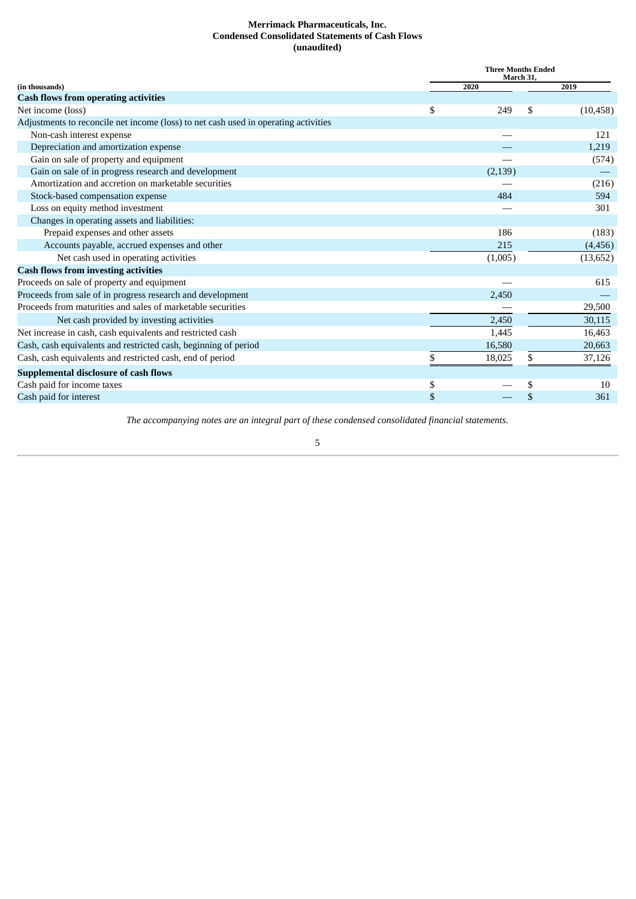#### **Merrimack Pharmaceuticals, Inc. Condensed Consolidated Statements of Cash Flows (unaudited)**

<span id="page-6-0"></span>

|                                                                                     | <b>Three Months Ended</b><br>March 31, |          |    |           |  |  |  |
|-------------------------------------------------------------------------------------|----------------------------------------|----------|----|-----------|--|--|--|
| (in thousands)                                                                      |                                        | 2020     |    | 2019      |  |  |  |
| <b>Cash flows from operating activities</b>                                         |                                        |          |    |           |  |  |  |
| Net income (loss)                                                                   | \$                                     | 249      | \$ | (10, 458) |  |  |  |
| Adjustments to reconcile net income (loss) to net cash used in operating activities |                                        |          |    |           |  |  |  |
| Non-cash interest expense                                                           |                                        |          |    | 121       |  |  |  |
| Depreciation and amortization expense                                               |                                        |          |    | 1,219     |  |  |  |
| Gain on sale of property and equipment                                              |                                        |          |    | (574)     |  |  |  |
| Gain on sale of in progress research and development                                |                                        | (2, 139) |    |           |  |  |  |
| Amortization and accretion on marketable securities                                 |                                        |          |    | (216)     |  |  |  |
| Stock-based compensation expense                                                    |                                        | 484      |    | 594       |  |  |  |
| Loss on equity method investment                                                    |                                        |          |    | 301       |  |  |  |
| Changes in operating assets and liabilities:                                        |                                        |          |    |           |  |  |  |
| Prepaid expenses and other assets                                                   |                                        | 186      |    | (183)     |  |  |  |
| Accounts payable, accrued expenses and other                                        |                                        | 215      |    | (4, 456)  |  |  |  |
| Net cash used in operating activities                                               |                                        | (1,005)  |    | (13, 652) |  |  |  |
| <b>Cash flows from investing activities</b>                                         |                                        |          |    |           |  |  |  |
| Proceeds on sale of property and equipment                                          |                                        |          |    | 615       |  |  |  |
| Proceeds from sale of in progress research and development                          |                                        | 2,450    |    |           |  |  |  |
| Proceeds from maturities and sales of marketable securities                         |                                        |          |    | 29,500    |  |  |  |
| Net cash provided by investing activities                                           |                                        | 2,450    |    | 30,115    |  |  |  |
| Net increase in cash, cash equivalents and restricted cash                          |                                        | 1,445    |    | 16,463    |  |  |  |
| Cash, cash equivalents and restricted cash, beginning of period                     |                                        | 16,580   |    | 20,663    |  |  |  |
| Cash, cash equivalents and restricted cash, end of period                           | \$                                     | 18,025   | \$ | 37,126    |  |  |  |
| <b>Supplemental disclosure of cash flows</b>                                        |                                        |          |    |           |  |  |  |
| Cash paid for income taxes                                                          | \$                                     |          | \$ | 10        |  |  |  |
| Cash paid for interest                                                              | \$                                     |          | \$ | 361       |  |  |  |

*The accompanying notes are an integral part of these condensed consolidated financial statements.*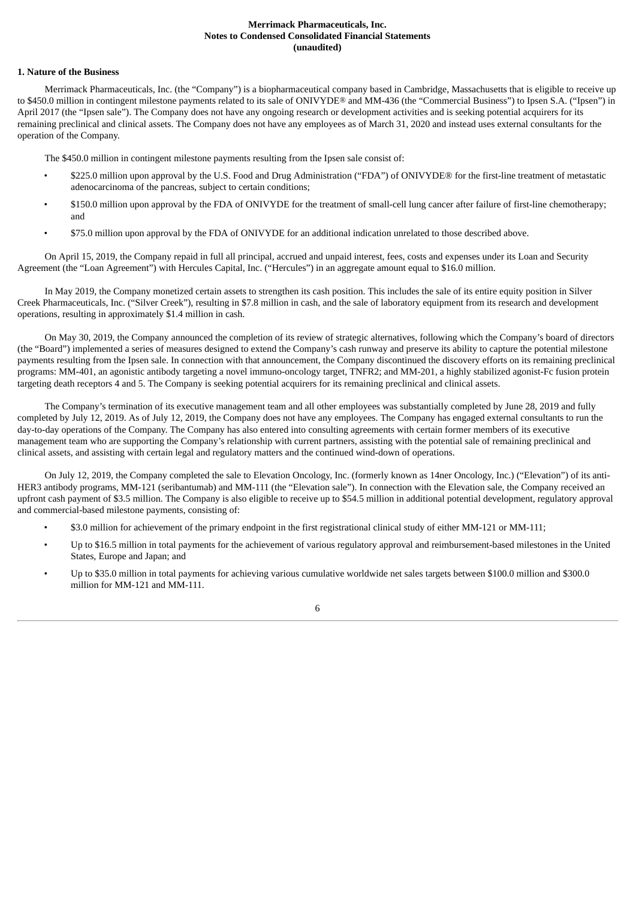#### **Merrimack Pharmaceuticals, Inc. Notes to Condensed Consolidated Financial Statements (unaudited)**

#### <span id="page-7-0"></span>**1. Nature of the Business**

Merrimack Pharmaceuticals, Inc. (the "Company") is a biopharmaceutical company based in Cambridge, Massachusetts that is eligible to receive up to \$450.0 million in contingent milestone payments related to its sale of ONIVYDE® and MM-436 (the "Commercial Business") to Ipsen S.A. ("Ipsen") in April 2017 (the "Ipsen sale"). The Company does not have any ongoing research or development activities and is seeking potential acquirers for its remaining preclinical and clinical assets. The Company does not have any employees as of March 31, 2020 and instead uses external consultants for the operation of the Company.

The \$450.0 million in contingent milestone payments resulting from the Ipsen sale consist of:

- \$225.0 million upon approval by the U.S. Food and Drug Administration ("FDA") of ONIVYDE® for the first-line treatment of metastatic adenocarcinoma of the pancreas, subject to certain conditions;
- \$150.0 million upon approval by the FDA of ONIVYDE for the treatment of small-cell lung cancer after failure of first-line chemotherapy; and
- \$75.0 million upon approval by the FDA of ONIVYDE for an additional indication unrelated to those described above.

On April 15, 2019, the Company repaid in full all principal, accrued and unpaid interest, fees, costs and expenses under its Loan and Security Agreement (the "Loan Agreement") with Hercules Capital, Inc. ("Hercules") in an aggregate amount equal to \$16.0 million.

In May 2019, the Company monetized certain assets to strengthen its cash position. This includes the sale of its entire equity position in Silver Creek Pharmaceuticals, Inc. ("Silver Creek"), resulting in \$7.8 million in cash, and the sale of laboratory equipment from its research and development operations, resulting in approximately \$1.4 million in cash.

On May 30, 2019, the Company announced the completion of its review of strategic alternatives, following which the Company's board of directors (the "Board") implemented a series of measures designed to extend the Company's cash runway and preserve its ability to capture the potential milestone payments resulting from the Ipsen sale. In connection with that announcement, the Company discontinued the discovery efforts on its remaining preclinical programs: MM-401, an agonistic antibody targeting a novel immuno-oncology target, TNFR2; and MM-201, a highly stabilized agonist-Fc fusion protein targeting death receptors 4 and 5. The Company is seeking potential acquirers for its remaining preclinical and clinical assets.

The Company's termination of its executive management team and all other employees was substantially completed by June 28, 2019 and fully completed by July 12, 2019. As of July 12, 2019, the Company does not have any employees. The Company has engaged external consultants to run the day-to-day operations of the Company. The Company has also entered into consulting agreements with certain former members of its executive management team who are supporting the Company's relationship with current partners, assisting with the potential sale of remaining preclinical and clinical assets, and assisting with certain legal and regulatory matters and the continued wind-down of operations.

On July 12, 2019, the Company completed the sale to Elevation Oncology, Inc. (formerly known as 14ner Oncology, Inc.) ("Elevation") of its anti-HER3 antibody programs, MM-121 (seribantumab) and MM-111 (the "Elevation sale"). In connection with the Elevation sale, the Company received an upfront cash payment of \$3.5 million. The Company is also eligible to receive up to \$54.5 million in additional potential development, regulatory approval and commercial-based milestone payments, consisting of:

- \$3.0 million for achievement of the primary endpoint in the first registrational clinical study of either MM-121 or MM-111;
- Up to \$16.5 million in total payments for the achievement of various regulatory approval and reimbursement-based milestones in the United States, Europe and Japan; and
- Up to \$35.0 million in total payments for achieving various cumulative worldwide net sales targets between \$100.0 million and \$300.0 million for MM-121 and MM-111.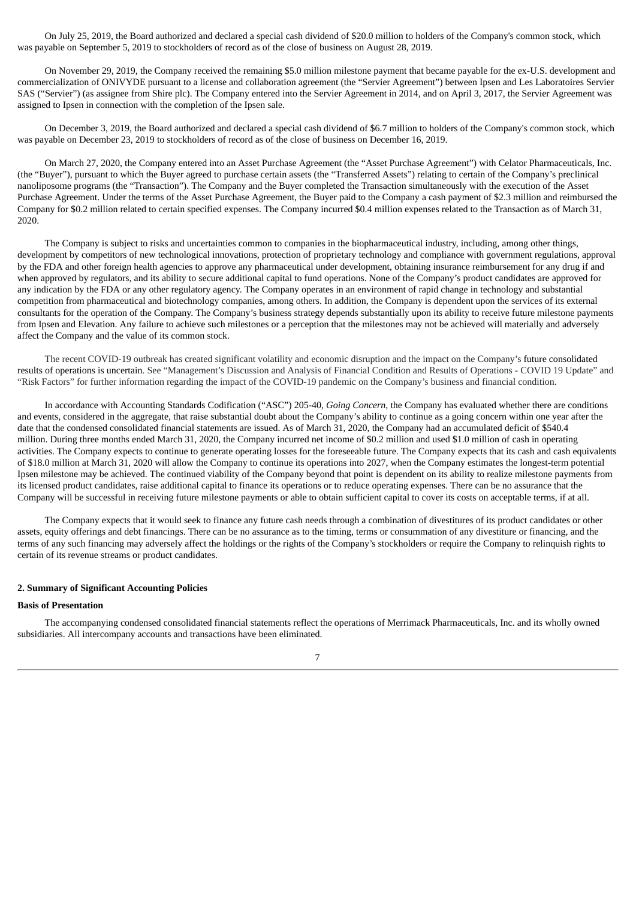On July 25, 2019, the Board authorized and declared a special cash dividend of \$20.0 million to holders of the Company's common stock, which was payable on September 5, 2019 to stockholders of record as of the close of business on August 28, 2019.

On November 29, 2019, the Company received the remaining \$5.0 million milestone payment that became payable for the ex-U.S. development and commercialization of ONIVYDE pursuant to a license and collaboration agreement (the "Servier Agreement") between Ipsen and Les Laboratoires Servier SAS ("Servier") (as assignee from Shire plc). The Company entered into the Servier Agreement in 2014, and on April 3, 2017, the Servier Agreement was assigned to Ipsen in connection with the completion of the Ipsen sale.

On December 3, 2019, the Board authorized and declared a special cash dividend of \$6.7 million to holders of the Company's common stock, which was payable on December 23, 2019 to stockholders of record as of the close of business on December 16, 2019.

On March 27, 2020, the Company entered into an Asset Purchase Agreement (the "Asset Purchase Agreement") with Celator Pharmaceuticals, Inc. (the "Buyer"), pursuant to which the Buyer agreed to purchase certain assets (the "Transferred Assets") relating to certain of the Company's preclinical nanoliposome programs (the "Transaction"). The Company and the Buyer completed the Transaction simultaneously with the execution of the Asset Purchase Agreement. Under the terms of the Asset Purchase Agreement, the Buyer paid to the Company a cash payment of \$2.3 million and reimbursed the Company for \$0.2 million related to certain specified expenses. The Company incurred \$0.4 million expenses related to the Transaction as of March 31, 2020.

The Company is subject to risks and uncertainties common to companies in the biopharmaceutical industry, including, among other things, development by competitors of new technological innovations, protection of proprietary technology and compliance with government regulations, approval by the FDA and other foreign health agencies to approve any pharmaceutical under development, obtaining insurance reimbursement for any drug if and when approved by regulators, and its ability to secure additional capital to fund operations. None of the Company's product candidates are approved for any indication by the FDA or any other regulatory agency. The Company operates in an environment of rapid change in technology and substantial competition from pharmaceutical and biotechnology companies, among others. In addition, the Company is dependent upon the services of its external consultants for the operation of the Company. The Company's business strategy depends substantially upon its ability to receive future milestone payments from Ipsen and Elevation. Any failure to achieve such milestones or a perception that the milestones may not be achieved will materially and adversely affect the Company and the value of its common stock.

The recent COVID-19 outbreak has created significant volatility and economic disruption and the impact on the Company's future consolidated results of operations is uncertain. See "Management's Discussion and Analysis of Financial Condition and Results of Operations - COVID 19 Update" and "Risk Factors" for further information regarding the impact of the COVID-19 pandemic on the Company's business and financial condition.

In accordance with Accounting Standards Codification ("ASC") 205-40, *Going Concern*, the Company has evaluated whether there are conditions and events, considered in the aggregate, that raise substantial doubt about the Company's ability to continue as a going concern within one year after the date that the condensed consolidated financial statements are issued. As of March 31, 2020, the Company had an accumulated deficit of \$540.4 million. During three months ended March 31, 2020, the Company incurred net income of \$0.2 million and used \$1.0 million of cash in operating activities. The Company expects to continue to generate operating losses for the foreseeable future. The Company expects that its cash and cash equivalents of \$18.0 million at March 31, 2020 will allow the Company to continue its operations into 2027, when the Company estimates the longest-term potential Ipsen milestone may be achieved. The continued viability of the Company beyond that point is dependent on its ability to realize milestone payments from its licensed product candidates, raise additional capital to finance its operations or to reduce operating expenses. There can be no assurance that the Company will be successful in receiving future milestone payments or able to obtain sufficient capital to cover its costs on acceptable terms, if at all.

The Company expects that it would seek to finance any future cash needs through a combination of divestitures of its product candidates or other assets, equity offerings and debt financings. There can be no assurance as to the timing, terms or consummation of any divestiture or financing, and the terms of any such financing may adversely affect the holdings or the rights of the Company's stockholders or require the Company to relinquish rights to certain of its revenue streams or product candidates.

#### **2. Summary of Significant Accounting Policies**

#### **Basis of Presentation**

The accompanying condensed consolidated financial statements reflect the operations of Merrimack Pharmaceuticals, Inc. and its wholly owned subsidiaries. All intercompany accounts and transactions have been eliminated.

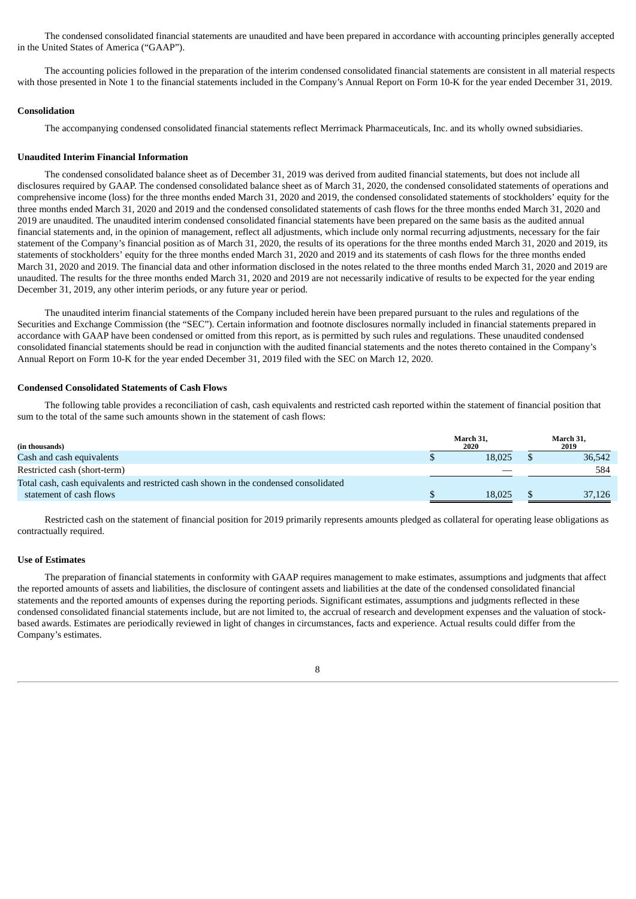The condensed consolidated financial statements are unaudited and have been prepared in accordance with accounting principles generally accepted in the United States of America ("GAAP").

The accounting policies followed in the preparation of the interim condensed consolidated financial statements are consistent in all material respects with those presented in Note 1 to the financial statements included in the Company's Annual Report on Form 10-K for the year ended December 31, 2019.

#### **Consolidation**

The accompanying condensed consolidated financial statements reflect Merrimack Pharmaceuticals, Inc. and its wholly owned subsidiaries.

#### **Unaudited Interim Financial Information**

The condensed consolidated balance sheet as of December 31, 2019 was derived from audited financial statements, but does not include all disclosures required by GAAP. The condensed consolidated balance sheet as of March 31, 2020, the condensed consolidated statements of operations and comprehensive income (loss) for the three months ended March 31, 2020 and 2019, the condensed consolidated statements of stockholders' equity for the three months ended March 31, 2020 and 2019 and the condensed consolidated statements of cash flows for the three months ended March 31, 2020 and 2019 are unaudited. The unaudited interim condensed consolidated financial statements have been prepared on the same basis as the audited annual financial statements and, in the opinion of management, reflect all adjustments, which include only normal recurring adjustments, necessary for the fair statement of the Company's financial position as of March 31, 2020, the results of its operations for the three months ended March 31, 2020 and 2019, its statements of stockholders' equity for the three months ended March 31, 2020 and 2019 and its statements of cash flows for the three months ended March 31, 2020 and 2019. The financial data and other information disclosed in the notes related to the three months ended March 31, 2020 and 2019 are unaudited. The results for the three months ended March 31, 2020 and 2019 are not necessarily indicative of results to be expected for the year ending December 31, 2019, any other interim periods, or any future year or period.

The unaudited interim financial statements of the Company included herein have been prepared pursuant to the rules and regulations of the Securities and Exchange Commission (the "SEC"). Certain information and footnote disclosures normally included in financial statements prepared in accordance with GAAP have been condensed or omitted from this report, as is permitted by such rules and regulations. These unaudited condensed consolidated financial statements should be read in conjunction with the audited financial statements and the notes thereto contained in the Company's Annual Report on Form 10-K for the year ended December 31, 2019 filed with the SEC on March 12, 2020.

#### **Condensed Consolidated Statements of Cash Flows**

The following table provides a reconciliation of cash, cash equivalents and restricted cash reported within the statement of financial position that sum to the total of the same such amounts shown in the statement of cash flows:

| (in thousands)                                                                       | March 31.<br>2020 | March 31.<br>2019 |
|--------------------------------------------------------------------------------------|-------------------|-------------------|
| Cash and cash equivalents                                                            | 18.025            | 36.542            |
| Restricted cash (short-term)                                                         |                   | 584               |
| Total cash, cash equivalents and restricted cash shown in the condensed consolidated |                   |                   |
| statement of cash flows                                                              | 18.025            | 37.126            |

Restricted cash on the statement of financial position for 2019 primarily represents amounts pledged as collateral for operating lease obligations as contractually required.

#### **Use of Estimates**

The preparation of financial statements in conformity with GAAP requires management to make estimates, assumptions and judgments that affect the reported amounts of assets and liabilities, the disclosure of contingent assets and liabilities at the date of the condensed consolidated financial statements and the reported amounts of expenses during the reporting periods. Significant estimates, assumptions and judgments reflected in these condensed consolidated financial statements include, but are not limited to, the accrual of research and development expenses and the valuation of stockbased awards. Estimates are periodically reviewed in light of changes in circumstances, facts and experience. Actual results could differ from the Company's estimates.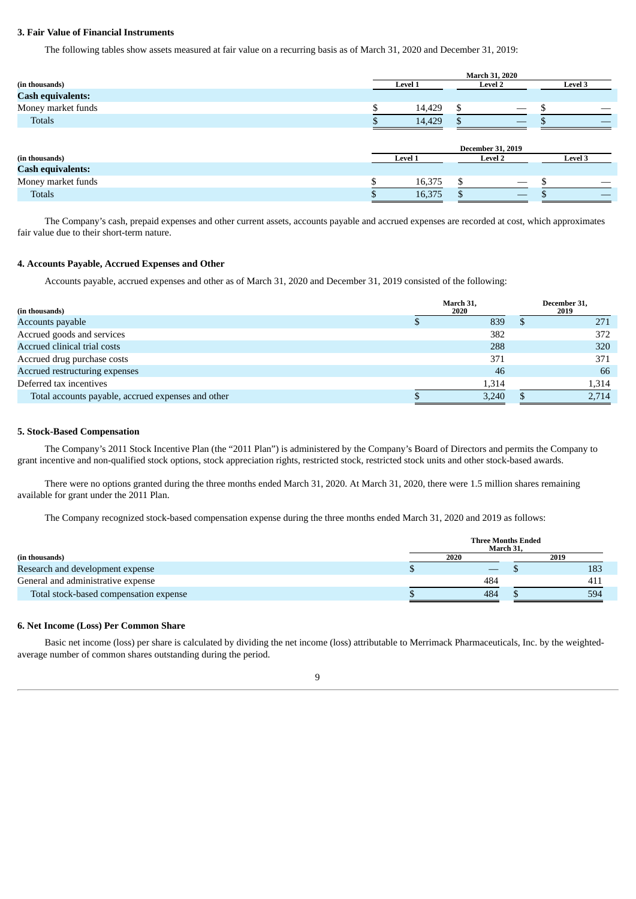#### **3. Fair Value of Financial Instruments**

The following tables show assets measured at fair value on a recurring basis as of March 31, 2020 and December 31, 2019:

|                          | <b>March 31, 2020</b> |         |                |                          |         |
|--------------------------|-----------------------|---------|----------------|--------------------------|---------|
| (in thousands)           |                       | Level 1 | <b>Level 2</b> |                          | Level 3 |
| <b>Cash equivalents:</b> |                       |         |                |                          |         |
| Money market funds       |                       | 14,429  | \$             |                          |         |
| <b>Totals</b>            |                       | 14,429  |                |                          |         |
|                          |                       |         |                | <b>December 31, 2019</b> |         |
| (in thousands)           |                       | Level 1 | <b>Level 2</b> |                          | Level 3 |
| <b>Cash equivalents:</b> |                       |         |                |                          |         |
| Money market funds       |                       | 16,375  | \$             |                          |         |
| <b>Totals</b>            |                       | 16,375  |                |                          |         |
|                          |                       |         |                |                          |         |

The Company's cash, prepaid expenses and other current assets, accounts payable and accrued expenses are recorded at cost, which approximates fair value due to their short-term nature.

#### **4. Accounts Payable, Accrued Expenses and Other**

Accounts payable, accrued expenses and other as of March 31, 2020 and December 31, 2019 consisted of the following:

| (in thousands)                                     |  | March 31,<br>2020 | December 31,<br>2019 |
|----------------------------------------------------|--|-------------------|----------------------|
| Accounts payable                                   |  | 839               | 271                  |
| Accrued goods and services                         |  | 382               | 372                  |
| Accrued clinical trial costs                       |  | 288               | 320                  |
| Accrued drug purchase costs                        |  | 371               | 371                  |
| Accrued restructuring expenses                     |  | 46                | 66                   |
| Deferred tax incentives                            |  | 1.314             | 1.314                |
| Total accounts payable, accrued expenses and other |  | 3,240             | 2.714                |

#### **5. Stock-Based Compensation**

The Company's 2011 Stock Incentive Plan (the "2011 Plan") is administered by the Company's Board of Directors and permits the Company to grant incentive and non-qualified stock options, stock appreciation rights, restricted stock, restricted stock units and other stock-based awards.

There were no options granted during the three months ended March 31, 2020. At March 31, 2020, there were 1.5 million shares remaining available for grant under the 2011 Plan.

The Company recognized stock-based compensation expense during the three months ended March 31, 2020 and 2019 as follows:

|                                        | <b>Three Months Ended</b><br>March 31. |  |      |  |  |  |  |  |
|----------------------------------------|----------------------------------------|--|------|--|--|--|--|--|
| (in thousands)                         | 2020                                   |  | 2019 |  |  |  |  |  |
| Research and development expense       |                                        |  | 183  |  |  |  |  |  |
| General and administrative expense     | 484                                    |  | 411  |  |  |  |  |  |
| Total stock-based compensation expense | 484                                    |  | 594  |  |  |  |  |  |

#### **6. Net Income (Loss) Per Common Share**

Basic net income (loss) per share is calculated by dividing the net income (loss) attributable to Merrimack Pharmaceuticals, Inc. by the weightedaverage number of common shares outstanding during the period.

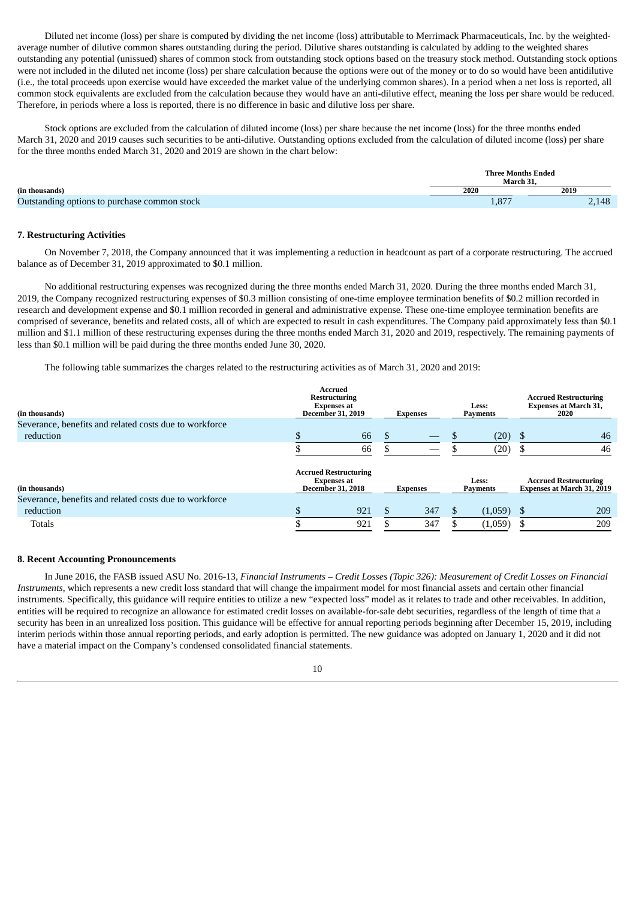Diluted net income (loss) per share is computed by dividing the net income (loss) attributable to Merrimack Pharmaceuticals, Inc. by the weightedaverage number of dilutive common shares outstanding during the period. Dilutive shares outstanding is calculated by adding to the weighted shares outstanding any potential (unissued) shares of common stock from outstanding stock options based on the treasury stock method. Outstanding stock options were not included in the diluted net income (loss) per share calculation because the options were out of the money or to do so would have been antidilutive (i.e., the total proceeds upon exercise would have exceeded the market value of the underlying common shares). In a period when a net loss is reported, all common stock equivalents are excluded from the calculation because they would have an anti-dilutive effect, meaning the loss per share would be reduced. Therefore, in periods where a loss is reported, there is no difference in basic and dilutive loss per share.

Stock options are excluded from the calculation of diluted income (loss) per share because the net income (loss) for the three months ended March 31, 2020 and 2019 causes such securities to be anti-dilutive. Outstanding options excluded from the calculation of diluted income (loss) per share for the three months ended March 31, 2020 and 2019 are shown in the chart below:

|                                              | <b>Three Months Ended</b><br>March 31 |       |  |  |  |  |
|----------------------------------------------|---------------------------------------|-------|--|--|--|--|
| (in thousands)                               | 2020                                  | 2019  |  |  |  |  |
| Outstanding options to purchase common stock | 1,877                                 | 2.148 |  |  |  |  |

#### **7. Restructuring Activities**

On November 7, 2018, the Company announced that it was implementing a reduction in headcount as part of a corporate restructuring. The accrued balance as of December 31, 2019 approximated to \$0.1 million.

No additional restructuring expenses was recognized during the three months ended March 31, 2020. During the three months ended March 31, 2019, the Company recognized restructuring expenses of \$0.3 million consisting of one-time employee termination benefits of \$0.2 million recorded in research and development expense and \$0.1 million recorded in general and administrative expense. These one-time employee termination benefits are comprised of severance, benefits and related costs, all of which are expected to result in cash expenditures. The Company paid approximately less than \$0.1 million and \$1.1 million of these restructuring expenses during the three months ended March 31, 2020 and 2019, respectively. The remaining payments of less than \$0.1 million will be paid during the three months ended June 30, 2020.

The following table summarizes the charges related to the restructuring activities as of March 31, 2020 and 2019:

| (in thousands)<br>Severance, benefits and related costs due to workforce | Accrued<br><b>Restructuring</b><br><b>Expenses at</b><br><b>December 31, 2019</b> |                                                                                |  | <b>Expenses</b> | <b>Less:</b><br><b>Payments</b> | <b>Accrued Restructuring</b><br><b>Expenses at March 31,</b><br>2020 |                                                                   |  |
|--------------------------------------------------------------------------|-----------------------------------------------------------------------------------|--------------------------------------------------------------------------------|--|-----------------|---------------------------------|----------------------------------------------------------------------|-------------------------------------------------------------------|--|
| reduction                                                                |                                                                                   | 66                                                                             |  |                 | (20)                            | S                                                                    | 46                                                                |  |
|                                                                          |                                                                                   | 66                                                                             |  |                 | (20)                            |                                                                      | 46                                                                |  |
| (in thousands)                                                           |                                                                                   | <b>Accrued Restructuring</b><br><b>Expenses at</b><br><b>December 31, 2018</b> |  | <b>Expenses</b> | <b>Less:</b><br><b>Payments</b> |                                                                      | <b>Accrued Restructuring</b><br><b>Expenses at March 31, 2019</b> |  |
| Severance, benefits and related costs due to workforce                   |                                                                                   |                                                                                |  |                 |                                 |                                                                      |                                                                   |  |
| reduction                                                                |                                                                                   | 921                                                                            |  | 347             | (1,059)                         |                                                                      | 209                                                               |  |
| Totals                                                                   |                                                                                   | 921                                                                            |  | 347             | (1,059)                         |                                                                      | 209                                                               |  |

#### **8. Recent Accounting Pronouncements**

In June 2016, the FASB issued ASU No. 2016-13, Financial Instruments - Credit Losses (Topic 326): Measurement of Credit Losses on Financial *Instruments*, which represents a new credit loss standard that will change the impairment model for most financial assets and certain other financial instruments. Specifically, this guidance will require entities to utilize a new "expected loss" model as it relates to trade and other receivables. In addition, entities will be required to recognize an allowance for estimated credit losses on available-for-sale debt securities, regardless of the length of time that a security has been in an unrealized loss position. This guidance will be effective for annual reporting periods beginning after December 15, 2019, including interim periods within those annual reporting periods, and early adoption is permitted. The new guidance was adopted on January 1, 2020 and it did not have a material impact on the Company's condensed consolidated financial statements.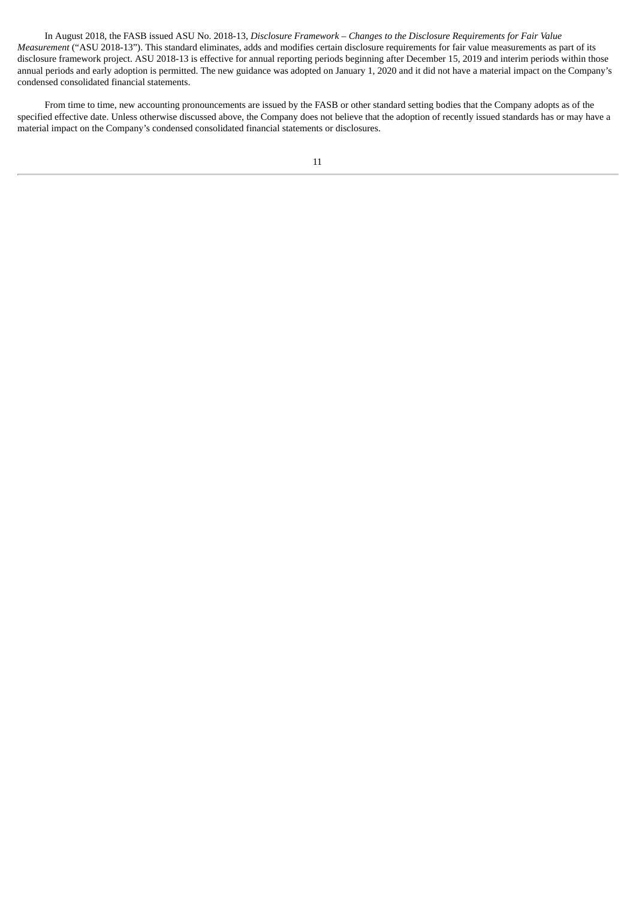In August 2018, the FASB issued ASU No. 2018-13, *Disclosure Framework – Changes to the Disclosure Requirements for Fair Value Measurement* ("ASU 2018-13"). This standard eliminates, adds and modifies certain disclosure requirements for fair value measurements as part of its disclosure framework project. ASU 2018-13 is effective for annual reporting periods beginning after December 15, 2019 and interim periods within those annual periods and early adoption is permitted. The new guidance was adopted on January 1, 2020 and it did not have a material impact on the Company's condensed consolidated financial statements.

From time to time, new accounting pronouncements are issued by the FASB or other standard setting bodies that the Company adopts as of the specified effective date. Unless otherwise discussed above, the Company does not believe that the adoption of recently issued standards has or may have a material impact on the Company's condensed consolidated financial statements or disclosures.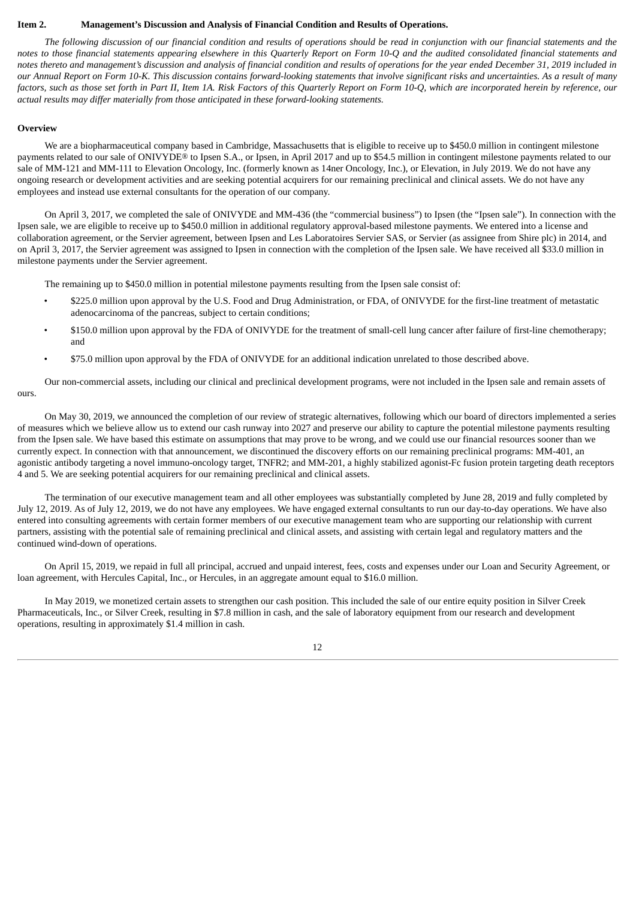#### <span id="page-13-0"></span>**Item 2. Management's Discussion and Analysis of Financial Condition and Results of Operations.**

The following discussion of our financial condition and results of operations should be read in conjunction with our financial statements and the notes to those financial statements appearing elsewhere in this Quarterly Report on Form 10-Q and the audited consolidated financial statements and notes thereto and management's discussion and analysis of financial condition and results of operations for the year ended December 31, 2019 included in our Annual Report on Form 10-K. This discussion contains forward-looking statements that involve significant risks and uncertainties. As a result of many factors, such as those set forth in Part II, Item 1A. Risk Factors of this Quarterly Report on Form 10-Q, which are incorporated herein by reference, our *actual results may differ materially from those anticipated in these forward-looking statements.*

#### **Overview**

We are a biopharmaceutical company based in Cambridge, Massachusetts that is eligible to receive up to \$450.0 million in contingent milestone payments related to our sale of ONIVYDE® to Ipsen S.A., or Ipsen, in April 2017 and up to \$54.5 million in contingent milestone payments related to our sale of MM-121 and MM-111 to Elevation Oncology, Inc. (formerly known as 14ner Oncology, Inc.), or Elevation, in July 2019. We do not have any ongoing research or development activities and are seeking potential acquirers for our remaining preclinical and clinical assets. We do not have any employees and instead use external consultants for the operation of our company.

On April 3, 2017, we completed the sale of ONIVYDE and MM-436 (the "commercial business") to Ipsen (the "Ipsen sale"). In connection with the Ipsen sale, we are eligible to receive up to \$450.0 million in additional regulatory approval-based milestone payments. We entered into a license and collaboration agreement, or the Servier agreement, between Ipsen and Les Laboratoires Servier SAS, or Servier (as assignee from Shire plc) in 2014, and on April 3, 2017, the Servier agreement was assigned to Ipsen in connection with the completion of the Ipsen sale. We have received all \$33.0 million in milestone payments under the Servier agreement.

The remaining up to \$450.0 million in potential milestone payments resulting from the Ipsen sale consist of:

- \$225.0 million upon approval by the U.S. Food and Drug Administration, or FDA, of ONIVYDE for the first-line treatment of metastatic adenocarcinoma of the pancreas, subject to certain conditions;
- \$150.0 million upon approval by the FDA of ONIVYDE for the treatment of small-cell lung cancer after failure of first-line chemotherapy; and
- \$75.0 million upon approval by the FDA of ONIVYDE for an additional indication unrelated to those described above.

Our non-commercial assets, including our clinical and preclinical development programs, were not included in the Ipsen sale and remain assets of ours.

On May 30, 2019, we announced the completion of our review of strategic alternatives, following which our board of directors implemented a series of measures which we believe allow us to extend our cash runway into 2027 and preserve our ability to capture the potential milestone payments resulting from the Ipsen sale. We have based this estimate on assumptions that may prove to be wrong, and we could use our financial resources sooner than we currently expect. In connection with that announcement, we discontinued the discovery efforts on our remaining preclinical programs: MM-401, an agonistic antibody targeting a novel immuno-oncology target, TNFR2; and MM-201, a highly stabilized agonist-Fc fusion protein targeting death receptors 4 and 5. We are seeking potential acquirers for our remaining preclinical and clinical assets.

The termination of our executive management team and all other employees was substantially completed by June 28, 2019 and fully completed by July 12, 2019. As of July 12, 2019, we do not have any employees. We have engaged external consultants to run our day-to-day operations. We have also entered into consulting agreements with certain former members of our executive management team who are supporting our relationship with current partners, assisting with the potential sale of remaining preclinical and clinical assets, and assisting with certain legal and regulatory matters and the continued wind-down of operations.

On April 15, 2019, we repaid in full all principal, accrued and unpaid interest, fees, costs and expenses under our Loan and Security Agreement, or loan agreement, with Hercules Capital, Inc., or Hercules, in an aggregate amount equal to \$16.0 million.

In May 2019, we monetized certain assets to strengthen our cash position. This included the sale of our entire equity position in Silver Creek Pharmaceuticals, Inc., or Silver Creek, resulting in \$7.8 million in cash, and the sale of laboratory equipment from our research and development operations, resulting in approximately \$1.4 million in cash.

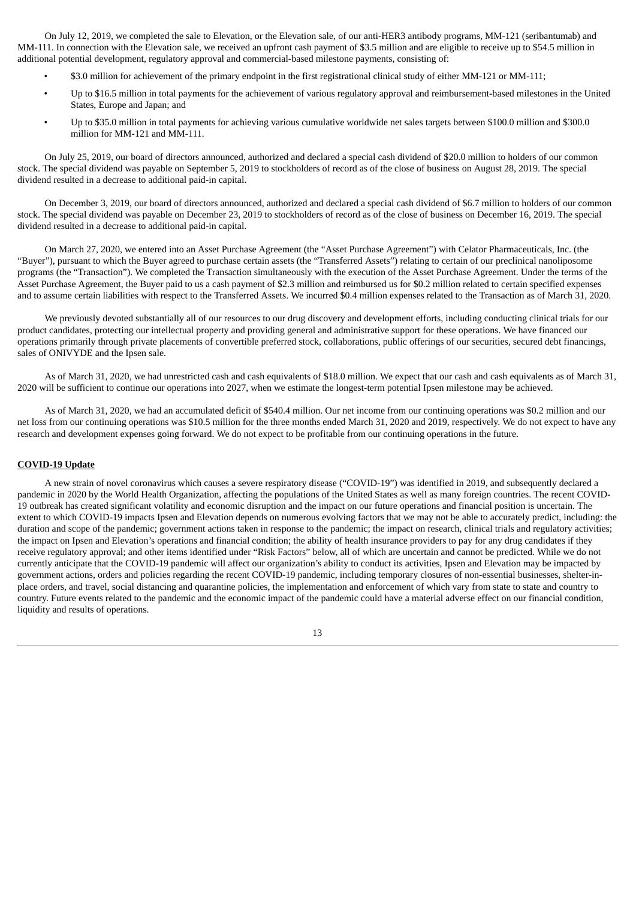On July 12, 2019, we completed the sale to Elevation, or the Elevation sale, of our anti-HER3 antibody programs, MM-121 (seribantumab) and MM-111. In connection with the Elevation sale, we received an upfront cash payment of \$3.5 million and are eligible to receive up to \$54.5 million in additional potential development, regulatory approval and commercial-based milestone payments, consisting of:

- \$3.0 million for achievement of the primary endpoint in the first registrational clinical study of either MM-121 or MM-111;
- Up to \$16.5 million in total payments for the achievement of various regulatory approval and reimbursement-based milestones in the United States, Europe and Japan; and
- Up to \$35.0 million in total payments for achieving various cumulative worldwide net sales targets between \$100.0 million and \$300.0 million for MM-121 and MM-111.

On July 25, 2019, our board of directors announced, authorized and declared a special cash dividend of \$20.0 million to holders of our common stock. The special dividend was payable on September 5, 2019 to stockholders of record as of the close of business on August 28, 2019. The special dividend resulted in a decrease to additional paid-in capital.

On December 3, 2019, our board of directors announced, authorized and declared a special cash dividend of \$6.7 million to holders of our common stock. The special dividend was payable on December 23, 2019 to stockholders of record as of the close of business on December 16, 2019. The special dividend resulted in a decrease to additional paid-in capital.

On March 27, 2020, we entered into an Asset Purchase Agreement (the "Asset Purchase Agreement") with Celator Pharmaceuticals, Inc. (the "Buyer"), pursuant to which the Buyer agreed to purchase certain assets (the "Transferred Assets") relating to certain of our preclinical nanoliposome programs (the "Transaction"). We completed the Transaction simultaneously with the execution of the Asset Purchase Agreement. Under the terms of the Asset Purchase Agreement, the Buyer paid to us a cash payment of \$2.3 million and reimbursed us for \$0.2 million related to certain specified expenses and to assume certain liabilities with respect to the Transferred Assets. We incurred \$0.4 million expenses related to the Transaction as of March 31, 2020.

We previously devoted substantially all of our resources to our drug discovery and development efforts, including conducting clinical trials for our product candidates, protecting our intellectual property and providing general and administrative support for these operations. We have financed our operations primarily through private placements of convertible preferred stock, collaborations, public offerings of our securities, secured debt financings, sales of ONIVYDE and the Ipsen sale.

As of March 31, 2020, we had unrestricted cash and cash equivalents of \$18.0 million. We expect that our cash and cash equivalents as of March 31, 2020 will be sufficient to continue our operations into 2027, when we estimate the longest-term potential Ipsen milestone may be achieved.

As of March 31, 2020, we had an accumulated deficit of \$540.4 million. Our net income from our continuing operations was \$0.2 million and our net loss from our continuing operations was \$10.5 million for the three months ended March 31, 2020 and 2019, respectively. We do not expect to have any research and development expenses going forward. We do not expect to be profitable from our continuing operations in the future.

#### **COVID-19 Update**

A new strain of novel coronavirus which causes a severe respiratory disease ("COVID-19") was identified in 2019, and subsequently declared a pandemic in 2020 by the World Health Organization, affecting the populations of the United States as well as many foreign countries. The recent COVID-19 outbreak has created significant volatility and economic disruption and the impact on our future operations and financial position is uncertain. The extent to which COVID-19 impacts Ipsen and Elevation depends on numerous evolving factors that we may not be able to accurately predict, including: the duration and scope of the pandemic; government actions taken in response to the pandemic; the impact on research, clinical trials and regulatory activities; the impact on Ipsen and Elevation's operations and financial condition; the ability of health insurance providers to pay for any drug candidates if they receive regulatory approval; and other items identified under "Risk Factors" below, all of which are uncertain and cannot be predicted. While we do not currently anticipate that the COVID-19 pandemic will affect our organization's ability to conduct its activities, Ipsen and Elevation may be impacted by government actions, orders and policies regarding the recent COVID-19 pandemic, including temporary closures of non-essential businesses, shelter-inplace orders, and travel, social distancing and quarantine policies, the implementation and enforcement of which vary from state to state and country to country. Future events related to the pandemic and the economic impact of the pandemic could have a material adverse effect on our financial condition, liquidity and results of operations.

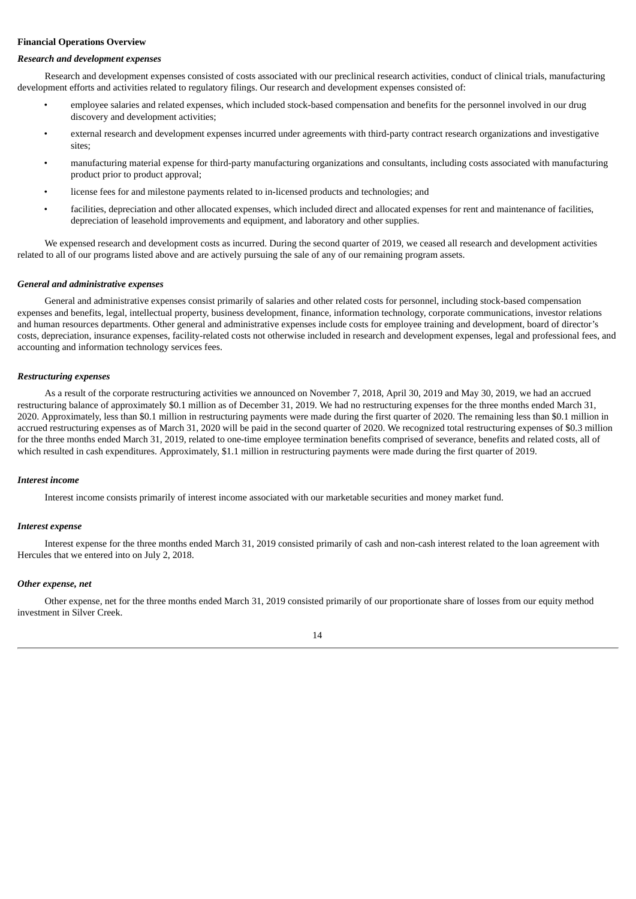#### **Financial Operations Overview**

#### *Research and development expenses*

Research and development expenses consisted of costs associated with our preclinical research activities, conduct of clinical trials, manufacturing development efforts and activities related to regulatory filings. Our research and development expenses consisted of:

- employee salaries and related expenses, which included stock-based compensation and benefits for the personnel involved in our drug discovery and development activities;
- external research and development expenses incurred under agreements with third-party contract research organizations and investigative sites;
- manufacturing material expense for third-party manufacturing organizations and consultants, including costs associated with manufacturing product prior to product approval;
- license fees for and milestone payments related to in-licensed products and technologies; and
- facilities, depreciation and other allocated expenses, which included direct and allocated expenses for rent and maintenance of facilities, depreciation of leasehold improvements and equipment, and laboratory and other supplies.

We expensed research and development costs as incurred. During the second quarter of 2019, we ceased all research and development activities related to all of our programs listed above and are actively pursuing the sale of any of our remaining program assets.

#### *General and administrative expenses*

General and administrative expenses consist primarily of salaries and other related costs for personnel, including stock-based compensation expenses and benefits, legal, intellectual property, business development, finance, information technology, corporate communications, investor relations and human resources departments. Other general and administrative expenses include costs for employee training and development, board of director's costs, depreciation, insurance expenses, facility-related costs not otherwise included in research and development expenses, legal and professional fees, and accounting and information technology services fees.

#### *Restructuring expenses*

As a result of the corporate restructuring activities we announced on November 7, 2018, April 30, 2019 and May 30, 2019, we had an accrued restructuring balance of approximately \$0.1 million as of December 31, 2019. We had no restructuring expenses for the three months ended March 31, 2020. Approximately, less than \$0.1 million in restructuring payments were made during the first quarter of 2020. The remaining less than \$0.1 million in accrued restructuring expenses as of March 31, 2020 will be paid in the second quarter of 2020. We recognized total restructuring expenses of \$0.3 million for the three months ended March 31, 2019, related to one-time employee termination benefits comprised of severance, benefits and related costs, all of which resulted in cash expenditures. Approximately, \$1.1 million in restructuring payments were made during the first quarter of 2019.

#### *Interest income*

Interest income consists primarily of interest income associated with our marketable securities and money market fund.

#### *Interest expense*

Interest expense for the three months ended March 31, 2019 consisted primarily of cash and non-cash interest related to the loan agreement with Hercules that we entered into on July 2, 2018.

#### *Other expense, net*

Other expense, net for the three months ended March 31, 2019 consisted primarily of our proportionate share of losses from our equity method investment in Silver Creek.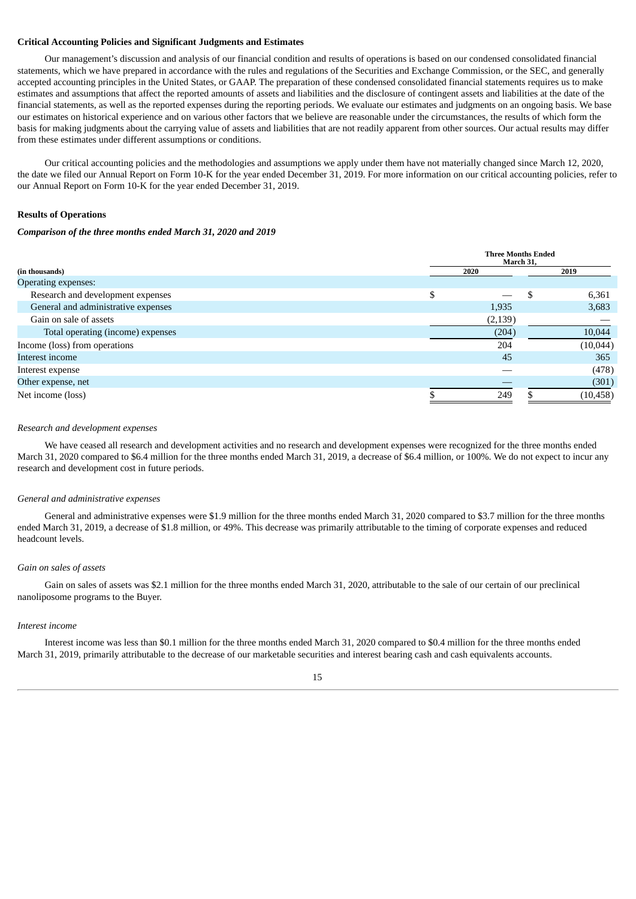#### **Critical Accounting Policies and Significant Judgments and Estimates**

Our management's discussion and analysis of our financial condition and results of operations is based on our condensed consolidated financial statements, which we have prepared in accordance with the rules and regulations of the Securities and Exchange Commission, or the SEC, and generally accepted accounting principles in the United States, or GAAP. The preparation of these condensed consolidated financial statements requires us to make estimates and assumptions that affect the reported amounts of assets and liabilities and the disclosure of contingent assets and liabilities at the date of the financial statements, as well as the reported expenses during the reporting periods. We evaluate our estimates and judgments on an ongoing basis. We base our estimates on historical experience and on various other factors that we believe are reasonable under the circumstances, the results of which form the basis for making judgments about the carrying value of assets and liabilities that are not readily apparent from other sources. Our actual results may differ from these estimates under different assumptions or conditions.

Our critical accounting policies and the methodologies and assumptions we apply under them have not materially changed since March 12, 2020, the date we filed our Annual Report on Form 10-K for the year ended December 31, 2019. For more information on our critical accounting policies, refer to our Annual Report on Form 10-K for the year ended December 31, 2019.

#### **Results of Operations**

#### *Comparison of the three months ended March 31, 2020 and 2019*

|                                     | <b>Three Months Ended</b><br>March 31, |          |           |  |
|-------------------------------------|----------------------------------------|----------|-----------|--|
| (in thousands)                      | 2020                                   |          | 2019      |  |
| Operating expenses:                 |                                        |          |           |  |
| Research and development expenses   | \$                                     | .S       | 6,361     |  |
| General and administrative expenses |                                        | 1,935    | 3,683     |  |
| Gain on sale of assets              |                                        | (2, 139) |           |  |
| Total operating (income) expenses   |                                        | (204)    | 10,044    |  |
| Income (loss) from operations       |                                        | 204      | (10,044)  |  |
| Interest income                     |                                        | 45       | 365       |  |
| Interest expense                    |                                        |          | (478)     |  |
| Other expense, net                  |                                        |          | (301)     |  |
| Net income (loss)                   |                                        | 249      | (10, 458) |  |

#### *Research and development expenses*

We have ceased all research and development activities and no research and development expenses were recognized for the three months ended March 31, 2020 compared to \$6.4 million for the three months ended March 31, 2019, a decrease of \$6.4 million, or 100%. We do not expect to incur any research and development cost in future periods.

#### *General and administrative expenses*

General and administrative expenses were \$1.9 million for the three months ended March 31, 2020 compared to \$3.7 million for the three months ended March 31, 2019, a decrease of \$1.8 million, or 49%. This decrease was primarily attributable to the timing of corporate expenses and reduced headcount levels.

#### *Gain on sales of assets*

Gain on sales of assets was \$2.1 million for the three months ended March 31, 2020, attributable to the sale of our certain of our preclinical nanoliposome programs to the Buyer.

#### *Interest income*

Interest income was less than \$0.1 million for the three months ended March 31, 2020 compared to \$0.4 million for the three months ended March 31, 2019, primarily attributable to the decrease of our marketable securities and interest bearing cash and cash equivalents accounts.

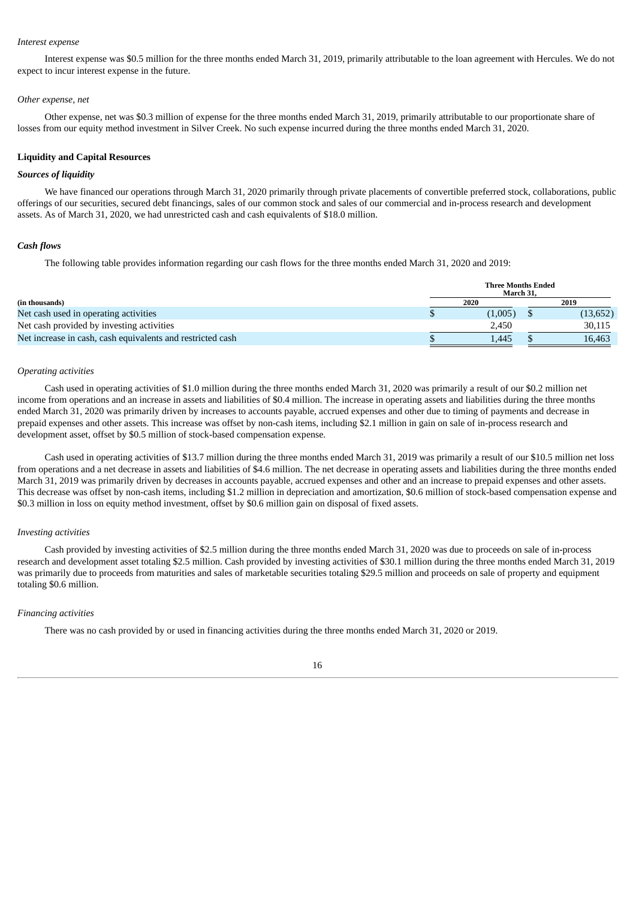#### *Interest expense*

Interest expense was \$0.5 million for the three months ended March 31, 2019, primarily attributable to the loan agreement with Hercules. We do not expect to incur interest expense in the future.

#### *Other expense, net*

Other expense, net was \$0.3 million of expense for the three months ended March 31, 2019, primarily attributable to our proportionate share of losses from our equity method investment in Silver Creek. No such expense incurred during the three months ended March 31, 2020.

#### **Liquidity and Capital Resources**

#### *Sources of liquidity*

We have financed our operations through March 31, 2020 primarily through private placements of convertible preferred stock, collaborations, public offerings of our securities, secured debt financings, sales of our common stock and sales of our commercial and in-process research and development assets. As of March 31, 2020, we had unrestricted cash and cash equivalents of \$18.0 million.

#### *Cash flows*

The following table provides information regarding our cash flows for the three months ended March 31, 2020 and 2019:

|                                                            | <b>Three Months Ended</b><br>March 31. |  |           |
|------------------------------------------------------------|----------------------------------------|--|-----------|
| (in thousands)                                             | 2020                                   |  | 2019      |
| Net cash used in operating activities                      | (1,005)                                |  | (13, 652) |
| Net cash provided by investing activities                  | 2.450                                  |  | 30.115    |
| Net increase in cash, cash equivalents and restricted cash | 1.445                                  |  | 16,463    |

#### *Operating activities*

Cash used in operating activities of \$1.0 million during the three months ended March 31, 2020 was primarily a result of our \$0.2 million net income from operations and an increase in assets and liabilities of \$0.4 million. The increase in operating assets and liabilities during the three months ended March 31, 2020 was primarily driven by increases to accounts payable, accrued expenses and other due to timing of payments and decrease in prepaid expenses and other assets. This increase was offset by non-cash items, including \$2.1 million in gain on sale of in-process research and development asset, offset by \$0.5 million of stock-based compensation expense.

Cash used in operating activities of \$13.7 million during the three months ended March 31, 2019 was primarily a result of our \$10.5 million net loss from operations and a net decrease in assets and liabilities of \$4.6 million. The net decrease in operating assets and liabilities during the three months ended March 31, 2019 was primarily driven by decreases in accounts payable, accrued expenses and other and an increase to prepaid expenses and other assets. This decrease was offset by non-cash items, including \$1.2 million in depreciation and amortization, \$0.6 million of stock-based compensation expense and \$0.3 million in loss on equity method investment, offset by \$0.6 million gain on disposal of fixed assets.

#### *Investing activities*

Cash provided by investing activities of \$2.5 million during the three months ended March 31, 2020 was due to proceeds on sale of in-process research and development asset totaling \$2.5 million. Cash provided by investing activities of \$30.1 million during the three months ended March 31, 2019 was primarily due to proceeds from maturities and sales of marketable securities totaling \$29.5 million and proceeds on sale of property and equipment totaling \$0.6 million.

#### *Financing activities*

There was no cash provided by or used in financing activities during the three months ended March 31, 2020 or 2019.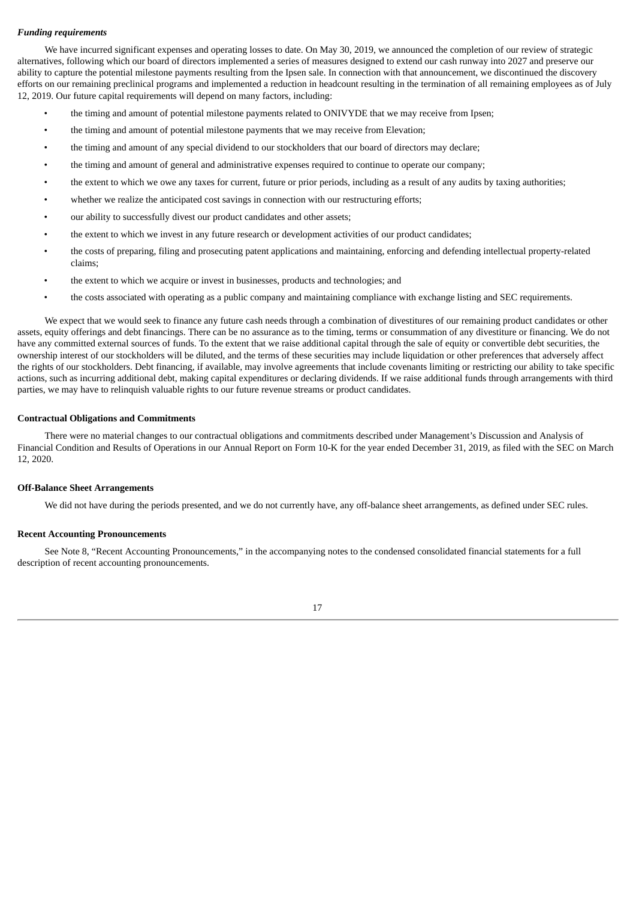#### *Funding requirements*

We have incurred significant expenses and operating losses to date. On May 30, 2019, we announced the completion of our review of strategic alternatives, following which our board of directors implemented a series of measures designed to extend our cash runway into 2027 and preserve our ability to capture the potential milestone payments resulting from the Ipsen sale. In connection with that announcement, we discontinued the discovery efforts on our remaining preclinical programs and implemented a reduction in headcount resulting in the termination of all remaining employees as of July 12, 2019. Our future capital requirements will depend on many factors, including:

- the timing and amount of potential milestone payments related to ONIVYDE that we may receive from Ipsen;
- the timing and amount of potential milestone payments that we may receive from Elevation;
- the timing and amount of any special dividend to our stockholders that our board of directors may declare;
- the timing and amount of general and administrative expenses required to continue to operate our company;
- the extent to which we owe any taxes for current, future or prior periods, including as a result of any audits by taxing authorities;
- whether we realize the anticipated cost savings in connection with our restructuring efforts;
- our ability to successfully divest our product candidates and other assets;
- the extent to which we invest in any future research or development activities of our product candidates;
- the costs of preparing, filing and prosecuting patent applications and maintaining, enforcing and defending intellectual property-related claims;
- the extent to which we acquire or invest in businesses, products and technologies; and
- the costs associated with operating as a public company and maintaining compliance with exchange listing and SEC requirements.

We expect that we would seek to finance any future cash needs through a combination of divestitures of our remaining product candidates or other assets, equity offerings and debt financings. There can be no assurance as to the timing, terms or consummation of any divestiture or financing. We do not have any committed external sources of funds. To the extent that we raise additional capital through the sale of equity or convertible debt securities, the ownership interest of our stockholders will be diluted, and the terms of these securities may include liquidation or other preferences that adversely affect the rights of our stockholders. Debt financing, if available, may involve agreements that include covenants limiting or restricting our ability to take specific actions, such as incurring additional debt, making capital expenditures or declaring dividends. If we raise additional funds through arrangements with third parties, we may have to relinquish valuable rights to our future revenue streams or product candidates.

#### **Contractual Obligations and Commitments**

There were no material changes to our contractual obligations and commitments described under Management's Discussion and Analysis of Financial Condition and Results of Operations in our Annual Report on Form 10-K for the year ended December 31, 2019, as filed with the SEC on March 12, 2020.

#### **Off-Balance Sheet Arrangements**

We did not have during the periods presented, and we do not currently have, any off-balance sheet arrangements, as defined under SEC rules.

#### **Recent Accounting Pronouncements**

See Note 8, "Recent Accounting Pronouncements," in the accompanying notes to the condensed consolidated financial statements for a full description of recent accounting pronouncements.

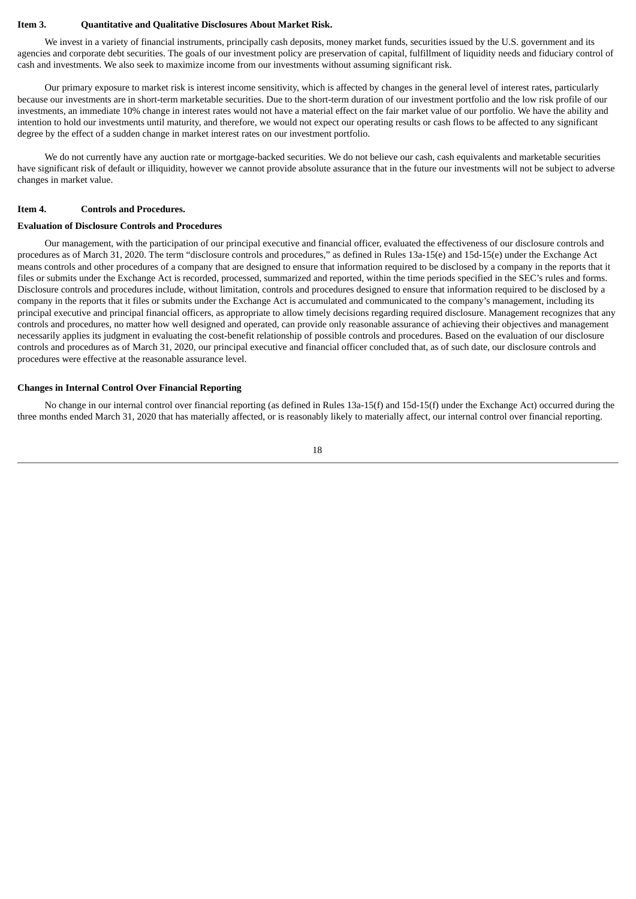#### <span id="page-19-0"></span>**Item 3. Quantitative and Qualitative Disclosures About Market Risk.**

We invest in a variety of financial instruments, principally cash deposits, money market funds, securities issued by the U.S. government and its agencies and corporate debt securities. The goals of our investment policy are preservation of capital, fulfillment of liquidity needs and fiduciary control of cash and investments. We also seek to maximize income from our investments without assuming significant risk.

Our primary exposure to market risk is interest income sensitivity, which is affected by changes in the general level of interest rates, particularly because our investments are in short-term marketable securities. Due to the short-term duration of our investment portfolio and the low risk profile of our investments, an immediate 10% change in interest rates would not have a material effect on the fair market value of our portfolio. We have the ability and intention to hold our investments until maturity, and therefore, we would not expect our operating results or cash flows to be affected to any significant degree by the effect of a sudden change in market interest rates on our investment portfolio.

We do not currently have any auction rate or mortgage-backed securities. We do not believe our cash, cash equivalents and marketable securities have significant risk of default or illiquidity, however we cannot provide absolute assurance that in the future our investments will not be subject to adverse changes in market value.

#### <span id="page-19-1"></span>**Item 4. Controls and Procedures.**

#### **Evaluation of Disclosure Controls and Procedures**

Our management, with the participation of our principal executive and financial officer, evaluated the effectiveness of our disclosure controls and procedures as of March 31, 2020. The term "disclosure controls and procedures," as defined in Rules 13a-15(e) and 15d-15(e) under the Exchange Act means controls and other procedures of a company that are designed to ensure that information required to be disclosed by a company in the reports that it files or submits under the Exchange Act is recorded, processed, summarized and reported, within the time periods specified in the SEC's rules and forms. Disclosure controls and procedures include, without limitation, controls and procedures designed to ensure that information required to be disclosed by a company in the reports that it files or submits under the Exchange Act is accumulated and communicated to the company's management, including its principal executive and principal financial officers, as appropriate to allow timely decisions regarding required disclosure. Management recognizes that any controls and procedures, no matter how well designed and operated, can provide only reasonable assurance of achieving their objectives and management necessarily applies its judgment in evaluating the cost-benefit relationship of possible controls and procedures. Based on the evaluation of our disclosure controls and procedures as of March 31, 2020, our principal executive and financial officer concluded that, as of such date, our disclosure controls and procedures were effective at the reasonable assurance level.

#### **Changes in Internal Control Over Financial Reporting**

No change in our internal control over financial reporting (as defined in Rules 13a-15(f) and 15d-15(f) under the Exchange Act) occurred during the three months ended March 31, 2020 that has materially affected, or is reasonably likely to materially affect, our internal control over financial reporting.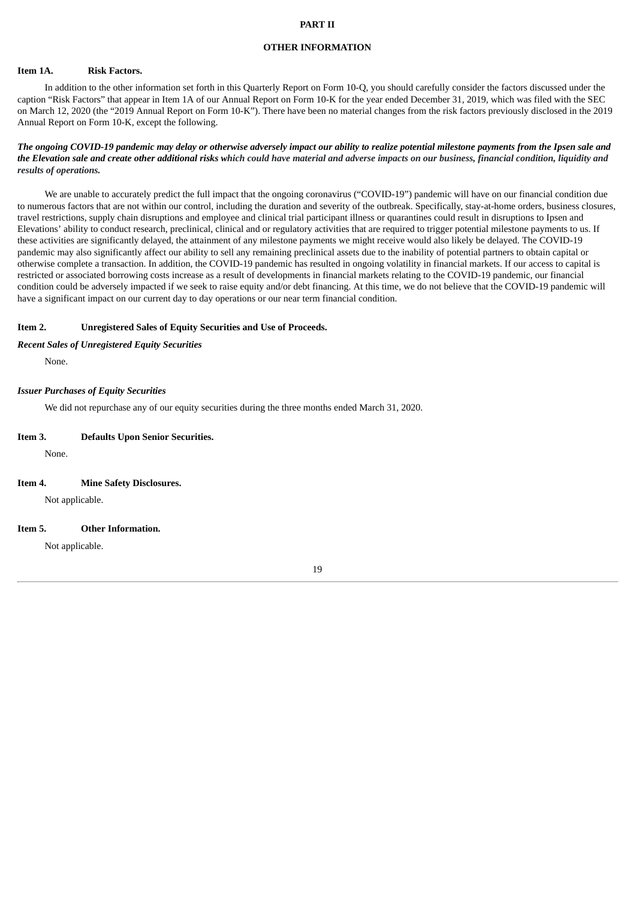#### **PART II**

#### **OTHER INFORMATION**

#### <span id="page-20-0"></span>**Item 1A. Risk Factors.**

In addition to the other information set forth in this Quarterly Report on Form 10-Q, you should carefully consider the factors discussed under the caption "Risk Factors" that appear in Item 1A of our Annual Report on Form 10-K for the year ended December 31, 2019, which was filed with the SEC on March 12, 2020 (the "2019 Annual Report on Form 10-K"). There have been no material changes from the risk factors previously disclosed in the 2019 Annual Report on Form 10-K, except the following.

#### The ongoing COVID-19 pandemic may delay or otherwise adversely impact our ability to realize potential milestone payments from the Ipsen sale and the Elevation sale and create other additional risks which could have material and adverse impacts on our business, financial condition, liquidity and *results of operations.*

We are unable to accurately predict the full impact that the ongoing coronavirus ("COVID-19") pandemic will have on our financial condition due to numerous factors that are not within our control, including the duration and severity of the outbreak. Specifically, stay-at-home orders, business closures, travel restrictions, supply chain disruptions and employee and clinical trial participant illness or quarantines could result in disruptions to Ipsen and Elevations' ability to conduct research, preclinical, clinical and or regulatory activities that are required to trigger potential milestone payments to us. If these activities are significantly delayed, the attainment of any milestone payments we might receive would also likely be delayed. The COVID-19 pandemic may also significantly affect our ability to sell any remaining preclinical assets due to the inability of potential partners to obtain capital or otherwise complete a transaction. In addition, the COVID-19 pandemic has resulted in ongoing volatility in financial markets. If our access to capital is restricted or associated borrowing costs increase as a result of developments in financial markets relating to the COVID-19 pandemic, our financial condition could be adversely impacted if we seek to raise equity and/or debt financing. At this time, we do not believe that the COVID-19 pandemic will have a significant impact on our current day to day operations or our near term financial condition.

#### **Item 2. Unregistered Sales of Equity Securities and Use of Proceeds.**

#### *Recent Sales of Unregistered Equity Securities*

None.

#### *Issuer Purchases of Equity Securities*

We did not repurchase any of our equity securities during the three months ended March 31, 2020.

| Item 3. | <b>Defaults Upon Senior Securities.</b> |
|---------|-----------------------------------------|
| None.   |                                         |
|         |                                         |

**Item 4. Mine Safety Disclosures.**

Not applicable.

#### <span id="page-20-1"></span>**Item 5. Other Information.**

Not applicable.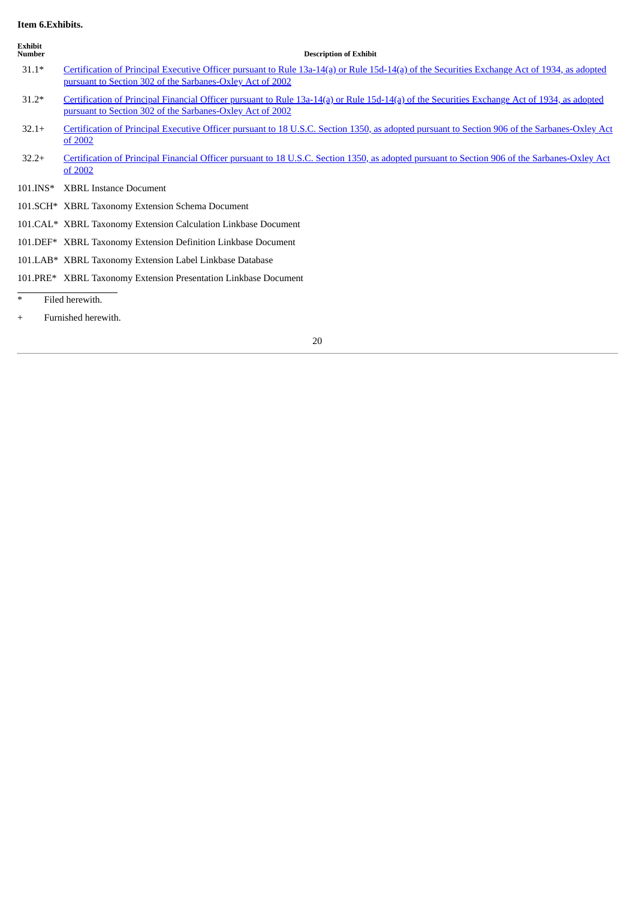## <span id="page-21-0"></span>**Item 6.Exhibits.**

| <b>Exhibit</b><br><b>Number</b> | <b>Description of Exhibit</b>                                                                                                                                                                             |
|---------------------------------|-----------------------------------------------------------------------------------------------------------------------------------------------------------------------------------------------------------|
| $31.1*$                         | Certification of Principal Executive Officer pursuant to Rule 13a-14(a) or Rule 15d-14(a) of the Securities Exchange Act of 1934, as adopted<br>pursuant to Section 302 of the Sarbanes-Oxley Act of 2002 |
| $31.2*$                         | Certification of Principal Financial Officer pursuant to Rule 13a-14(a) or Rule 15d-14(a) of the Securities Exchange Act of 1934, as adopted<br>pursuant to Section 302 of the Sarbanes-Oxley Act of 2002 |
| $32.1+$                         | Certification of Principal Executive Officer pursuant to 18 U.S.C. Section 1350, as adopted pursuant to Section 906 of the Sarbanes-Oxley Act<br>of 2002                                                  |
| $32.2+$                         | Certification of Principal Financial Officer pursuant to 18 U.S.C. Section 1350, as adopted pursuant to Section 906 of the Sarbanes-Oxley Act<br>of 2002                                                  |
| 101.INS*                        | <b>XBRL Instance Document</b>                                                                                                                                                                             |
|                                 | 101.SCH* XBRL Taxonomy Extension Schema Document                                                                                                                                                          |
|                                 | 101.CAL* XBRL Taxonomy Extension Calculation Linkbase Document                                                                                                                                            |
|                                 | 101.DEF* XBRL Taxonomy Extension Definition Linkbase Document                                                                                                                                             |
|                                 | 101.LAB* XBRL Taxonomy Extension Label Linkbase Database                                                                                                                                                  |
|                                 | 101.PRE* XBRL Taxonomy Extension Presentation Linkbase Document                                                                                                                                           |
| $\ast$                          | Filed herewith.                                                                                                                                                                                           |
| $^{+}$                          | Furnished herewith.                                                                                                                                                                                       |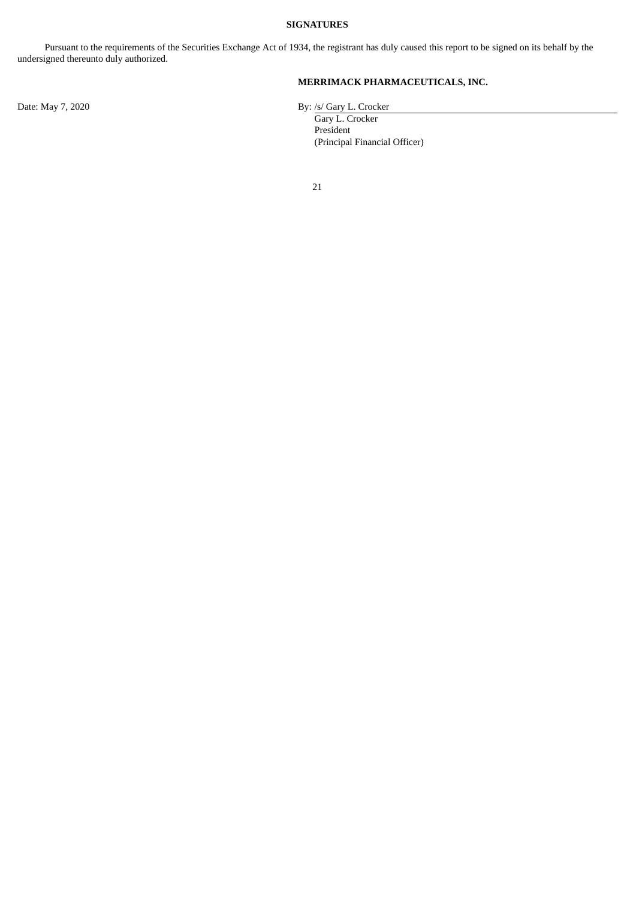## **SIGNATURES**

<span id="page-22-0"></span>Pursuant to the requirements of the Securities Exchange Act of 1934, the registrant has duly caused this report to be signed on its behalf by the undersigned thereunto duly authorized.

## **MERRIMACK PHARMACEUTICALS, INC.**

Gary L. Crocker President (Principal Financial Officer)

21

Date: May 7, 2020 By: /s/ Gary L. Crocker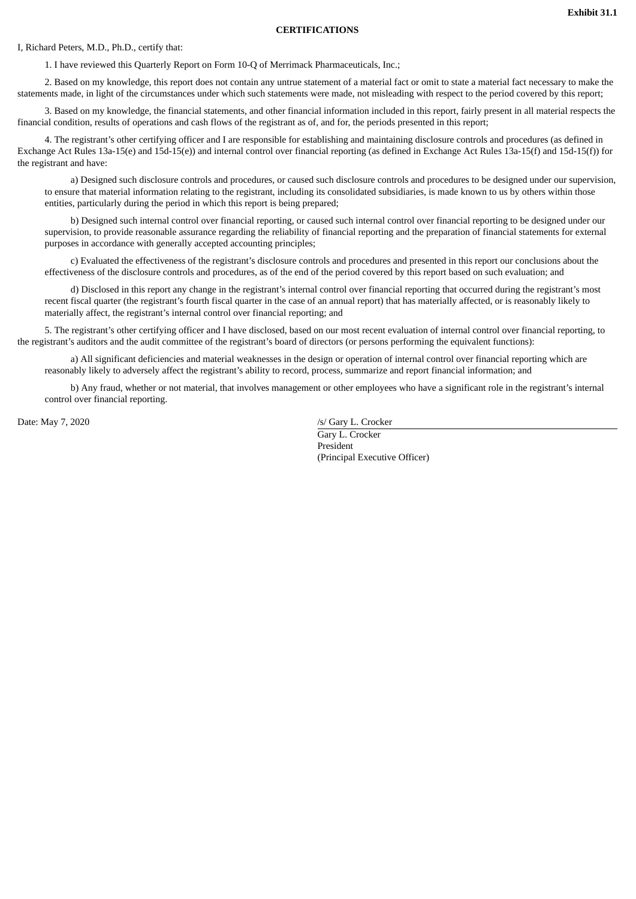#### **CERTIFICATIONS**

#### <span id="page-23-0"></span>I, Richard Peters, M.D., Ph.D., certify that:

1. I have reviewed this Quarterly Report on Form 10-Q of Merrimack Pharmaceuticals, Inc.;

2. Based on my knowledge, this report does not contain any untrue statement of a material fact or omit to state a material fact necessary to make the statements made, in light of the circumstances under which such statements were made, not misleading with respect to the period covered by this report;

3. Based on my knowledge, the financial statements, and other financial information included in this report, fairly present in all material respects the financial condition, results of operations and cash flows of the registrant as of, and for, the periods presented in this report;

4. The registrant's other certifying officer and I are responsible for establishing and maintaining disclosure controls and procedures (as defined in Exchange Act Rules 13a-15(e) and 15d-15(e)) and internal control over financial reporting (as defined in Exchange Act Rules 13a-15(f) and 15d-15(f)) for the registrant and have:

a) Designed such disclosure controls and procedures, or caused such disclosure controls and procedures to be designed under our supervision, to ensure that material information relating to the registrant, including its consolidated subsidiaries, is made known to us by others within those entities, particularly during the period in which this report is being prepared;

b) Designed such internal control over financial reporting, or caused such internal control over financial reporting to be designed under our supervision, to provide reasonable assurance regarding the reliability of financial reporting and the preparation of financial statements for external purposes in accordance with generally accepted accounting principles;

c) Evaluated the effectiveness of the registrant's disclosure controls and procedures and presented in this report our conclusions about the effectiveness of the disclosure controls and procedures, as of the end of the period covered by this report based on such evaluation; and

d) Disclosed in this report any change in the registrant's internal control over financial reporting that occurred during the registrant's most recent fiscal quarter (the registrant's fourth fiscal quarter in the case of an annual report) that has materially affected, or is reasonably likely to materially affect, the registrant's internal control over financial reporting; and

5. The registrant's other certifying officer and I have disclosed, based on our most recent evaluation of internal control over financial reporting, to the registrant's auditors and the audit committee of the registrant's board of directors (or persons performing the equivalent functions):

a) All significant deficiencies and material weaknesses in the design or operation of internal control over financial reporting which are reasonably likely to adversely affect the registrant's ability to record, process, summarize and report financial information; and

b) Any fraud, whether or not material, that involves management or other employees who have a significant role in the registrant's internal control over financial reporting.

Date: May 7, 2020 /s/ Gary L. Crocker

Gary L. Crocker President (Principal Executive Officer)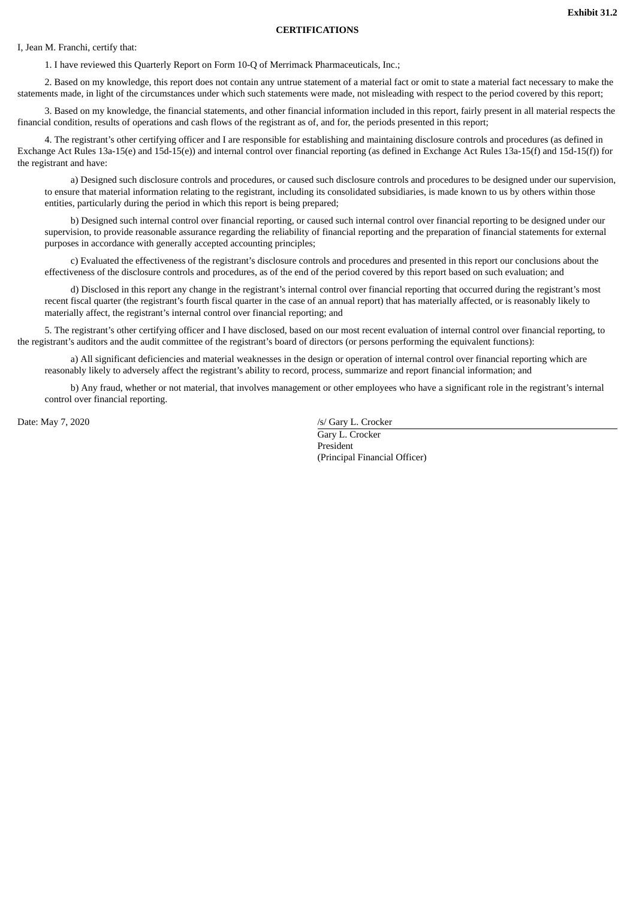#### **CERTIFICATIONS**

<span id="page-24-0"></span>I, Jean M. Franchi, certify that:

1. I have reviewed this Quarterly Report on Form 10-Q of Merrimack Pharmaceuticals, Inc.;

2. Based on my knowledge, this report does not contain any untrue statement of a material fact or omit to state a material fact necessary to make the statements made, in light of the circumstances under which such statements were made, not misleading with respect to the period covered by this report;

3. Based on my knowledge, the financial statements, and other financial information included in this report, fairly present in all material respects the financial condition, results of operations and cash flows of the registrant as of, and for, the periods presented in this report;

4. The registrant's other certifying officer and I are responsible for establishing and maintaining disclosure controls and procedures (as defined in Exchange Act Rules 13a-15(e) and 15d-15(e)) and internal control over financial reporting (as defined in Exchange Act Rules 13a-15(f) and 15d-15(f)) for the registrant and have:

a) Designed such disclosure controls and procedures, or caused such disclosure controls and procedures to be designed under our supervision, to ensure that material information relating to the registrant, including its consolidated subsidiaries, is made known to us by others within those entities, particularly during the period in which this report is being prepared;

b) Designed such internal control over financial reporting, or caused such internal control over financial reporting to be designed under our supervision, to provide reasonable assurance regarding the reliability of financial reporting and the preparation of financial statements for external purposes in accordance with generally accepted accounting principles;

c) Evaluated the effectiveness of the registrant's disclosure controls and procedures and presented in this report our conclusions about the effectiveness of the disclosure controls and procedures, as of the end of the period covered by this report based on such evaluation; and

d) Disclosed in this report any change in the registrant's internal control over financial reporting that occurred during the registrant's most recent fiscal quarter (the registrant's fourth fiscal quarter in the case of an annual report) that has materially affected, or is reasonably likely to materially affect, the registrant's internal control over financial reporting; and

5. The registrant's other certifying officer and I have disclosed, based on our most recent evaluation of internal control over financial reporting, to the registrant's auditors and the audit committee of the registrant's board of directors (or persons performing the equivalent functions):

a) All significant deficiencies and material weaknesses in the design or operation of internal control over financial reporting which are reasonably likely to adversely affect the registrant's ability to record, process, summarize and report financial information; and

b) Any fraud, whether or not material, that involves management or other employees who have a significant role in the registrant's internal control over financial reporting.

Date: May 7, 2020 /s/ Gary L. Crocker

Gary L. Crocker President (Principal Financial Officer)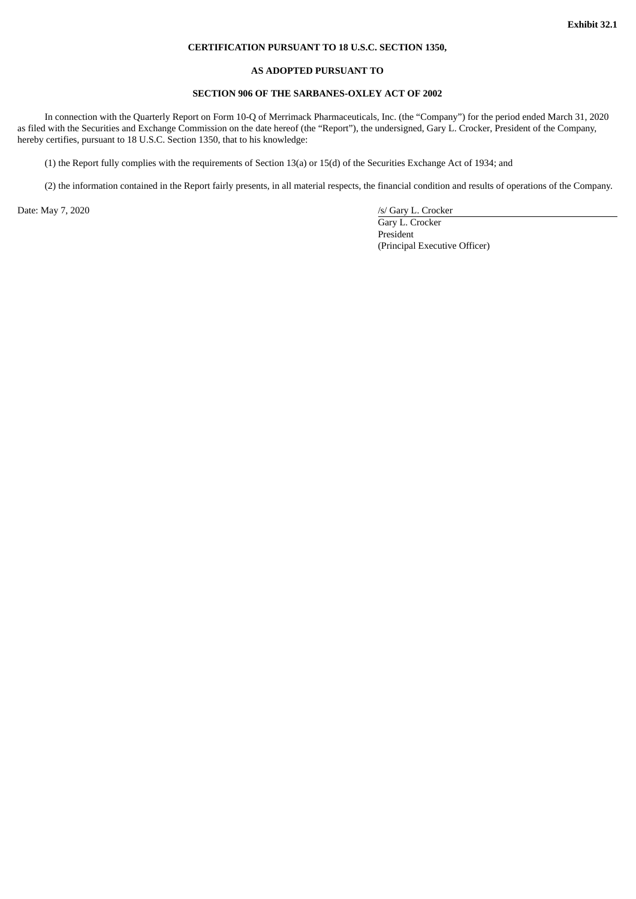#### **CERTIFICATION PURSUANT TO 18 U.S.C. SECTION 1350,**

#### **AS ADOPTED PURSUANT TO**

## **SECTION 906 OF THE SARBANES-OXLEY ACT OF 2002**

<span id="page-25-0"></span>In connection with the Quarterly Report on Form 10-Q of Merrimack Pharmaceuticals, Inc. (the "Company") for the period ended March 31, 2020 as filed with the Securities and Exchange Commission on the date hereof (the "Report"), the undersigned, Gary L. Crocker, President of the Company, hereby certifies, pursuant to 18 U.S.C. Section 1350, that to his knowledge:

(1) the Report fully complies with the requirements of Section 13(a) or 15(d) of the Securities Exchange Act of 1934; and

(2) the information contained in the Report fairly presents, in all material respects, the financial condition and results of operations of the Company.

Date: May 7, 2020 /s/ Gary L. Crocker Gary L. Crocker President (Principal Executive Officer)